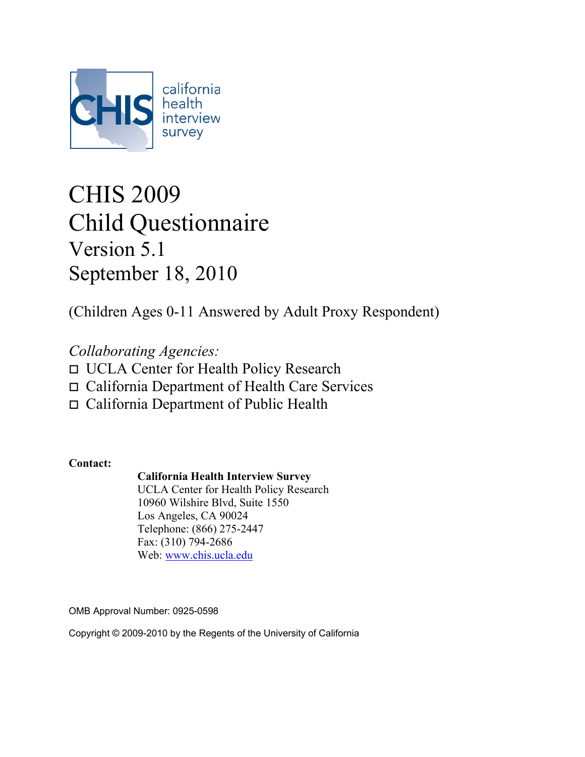

# CHIS 2009 Child Questionnaire Version 5.1 September 18, 2010

(Children Ages 0-11 Answered by Adult Proxy Respondent)

*Collaborating Agencies:* UCLA Center for Health Policy Research California Department of Health Care Services California Department of Public Health

**Contact:**

### **California Health Interview Survey**

UCLA Center for Health Policy Research 10960 Wilshire Blvd, Suite 1550 Los Angeles, CA 90024 Telephone: (866) 275-2447 Fax: (310) 794-2686 Web: [www.chis.ucla.edu](http://www.chis.ucla.edu/)

OMB Approval Number: 0925-0598

Copyright © 2009-2010 by the Regents of the University of California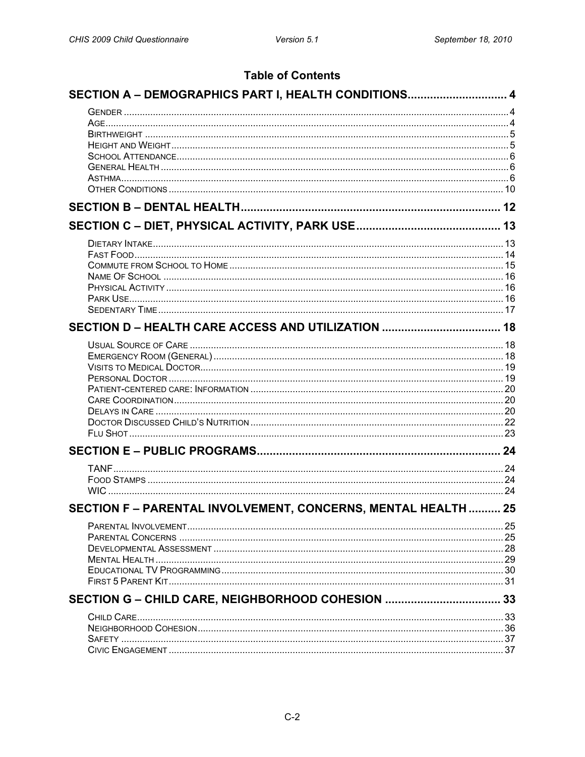### **Table of Contents**

| SECTION A - DEMOGRAPHICS PART I, HEALTH CONDITIONS 4       |    |
|------------------------------------------------------------|----|
|                                                            |    |
|                                                            |    |
|                                                            |    |
|                                                            |    |
|                                                            |    |
|                                                            |    |
|                                                            |    |
|                                                            |    |
|                                                            |    |
|                                                            |    |
|                                                            |    |
|                                                            |    |
|                                                            |    |
|                                                            |    |
|                                                            |    |
|                                                            |    |
|                                                            |    |
|                                                            |    |
|                                                            |    |
|                                                            |    |
|                                                            |    |
|                                                            |    |
|                                                            |    |
|                                                            |    |
|                                                            |    |
|                                                            |    |
|                                                            |    |
|                                                            |    |
| SECTION F-PARENTAL INVOLVEMENT, CONCERNS, MENTAL HEALTH 25 |    |
|                                                            |    |
|                                                            |    |
|                                                            |    |
|                                                            |    |
|                                                            |    |
|                                                            |    |
| SECTION G - CHILD CARE, NEIGHBORHOOD COHESION              | 33 |
|                                                            |    |
|                                                            |    |
|                                                            |    |
|                                                            |    |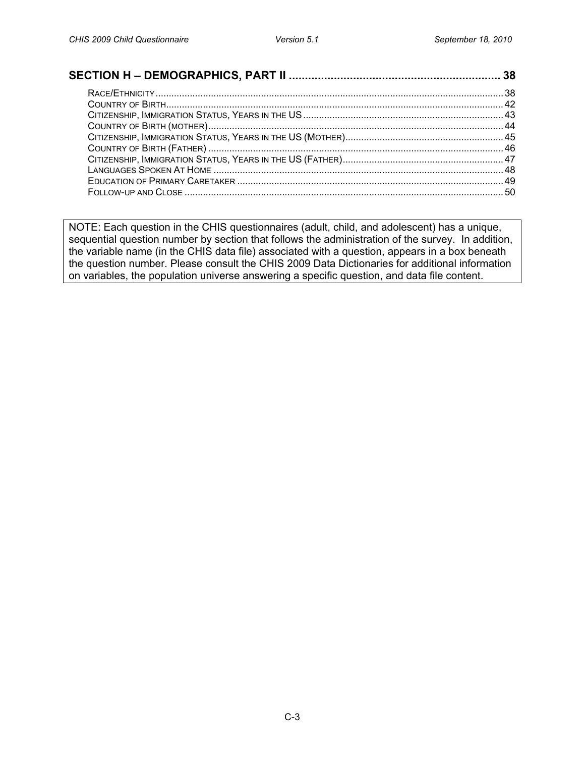NOTE: Each question in the CHIS questionnaires (adult, child, and adolescent) has a unique, sequential question number by section that follows the administration of the survey. In addition, the variable name (in the CHIS data file) associated with a question, appears in a box beneath the question number. Please consult the CHIS 2009 Data Dictionaries for additional information on variables, the population universe answering a specific question, and data file content.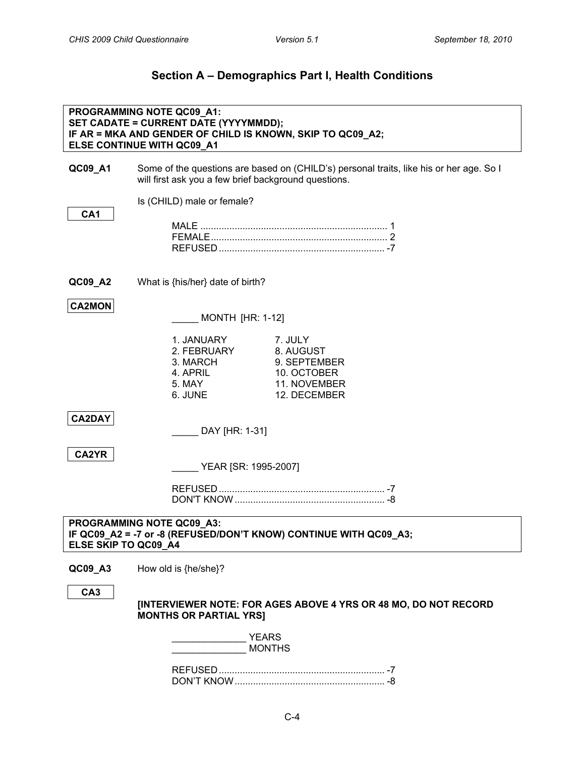## **Section A – Demographics Part I, Health Conditions**

<span id="page-3-2"></span><span id="page-3-1"></span><span id="page-3-0"></span>

|                      | PROGRAMMING NOTE QC09_A1:<br>SET CADATE = CURRENT DATE (YYYYMMDD);<br>IF AR = MKA AND GENDER OF CHILD IS KNOWN, SKIP TO QC09_A2;<br>ELSE CONTINUE WITH QC09_A1 |                                                                                         |
|----------------------|----------------------------------------------------------------------------------------------------------------------------------------------------------------|-----------------------------------------------------------------------------------------|
| QC09_A1              | will first ask you a few brief background questions.                                                                                                           | Some of the questions are based on (CHILD's) personal traits, like his or her age. So I |
|                      | Is (CHILD) male or female?                                                                                                                                     |                                                                                         |
| CA <sub>1</sub>      |                                                                                                                                                                |                                                                                         |
|                      |                                                                                                                                                                |                                                                                         |
| QC09_A2              | What is {his/her} date of birth?                                                                                                                               |                                                                                         |
| <b>CA2MON</b>        | <b>MONTH [HR: 1-12]</b>                                                                                                                                        |                                                                                         |
|                      | 1. JANUARY<br>2. FEBRUARY<br>3. MARCH<br>4. APRIL<br>5. MAY<br>6. JUNE                                                                                         | 7. JULY<br>8. AUGUST<br>9. SEPTEMBER<br>10. OCTOBER<br>11. NOVEMBER<br>12. DECEMBER     |
| <b>CA2DAY</b>        | DAY [HR: 1-31]                                                                                                                                                 |                                                                                         |
| CA2YR                | YEAR [SR: 1995-2007]                                                                                                                                           |                                                                                         |
|                      |                                                                                                                                                                |                                                                                         |
| ELSE SKIP TO QC09_A4 | <b>PROGRAMMING NOTE OC09 A3:</b><br>IF QC09_A2 = -7 or -8 (REFUSED/DON'T KNOW) CONTINUE WITH QC09_A3;                                                          |                                                                                         |
| QC09_A3              | How old is {he/she}?                                                                                                                                           |                                                                                         |
| CA <sub>3</sub>      | <b>MONTHS OR PARTIAL YRSI</b>                                                                                                                                  | [INTERVIEWER NOTE: FOR AGES ABOVE 4 YRS OR 48 MO, DO NOT RECORD                         |
|                      | YEARS<br><b>MONTHS</b>                                                                                                                                         |                                                                                         |
|                      |                                                                                                                                                                |                                                                                         |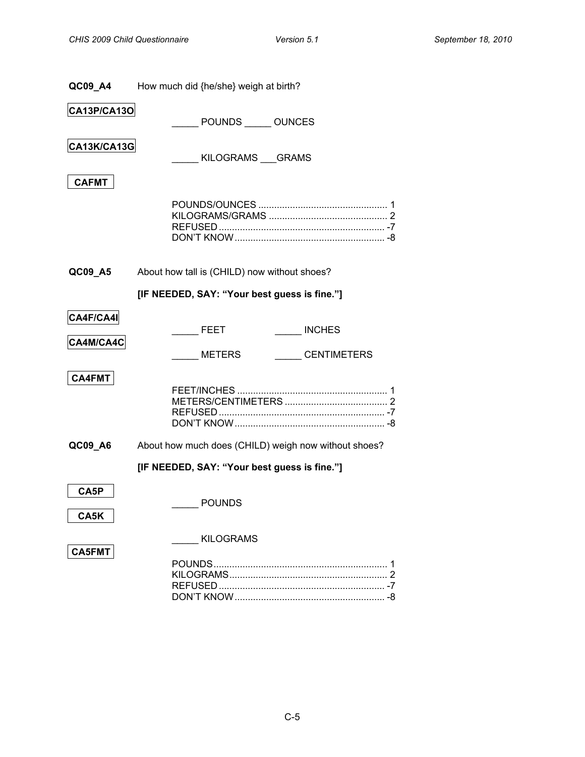<span id="page-4-1"></span><span id="page-4-0"></span>

| QC09_A4       | How much did {he/she} weigh at birth?                |  |
|---------------|------------------------------------------------------|--|
| CA13P/CA13O   | POUNDS _____ OUNCES                                  |  |
| CA13K/CA13G   | KILOGRAMS GRAMS                                      |  |
| <b>CAFMT</b>  |                                                      |  |
|               |                                                      |  |
| QC09_A5       | About how tall is (CHILD) now without shoes?         |  |
|               | [IF NEEDED, SAY: "Your best guess is fine."]         |  |
| CA4F/CA4I     | <b>INCHES</b><br><b>FEET</b>                         |  |
| CA4M/CA4C     | <b>CENTIMETERS</b><br><b>METERS</b>                  |  |
| <b>CA4FMT</b> |                                                      |  |
| QC09_A6       | About how much does (CHILD) weigh now without shoes? |  |
|               | [IF NEEDED, SAY: "Your best guess is fine."]         |  |
| CA5P<br>CA5K  | <b>POUNDS</b>                                        |  |
|               | <b>KILOGRAMS</b>                                     |  |
| <b>CA5FMT</b> |                                                      |  |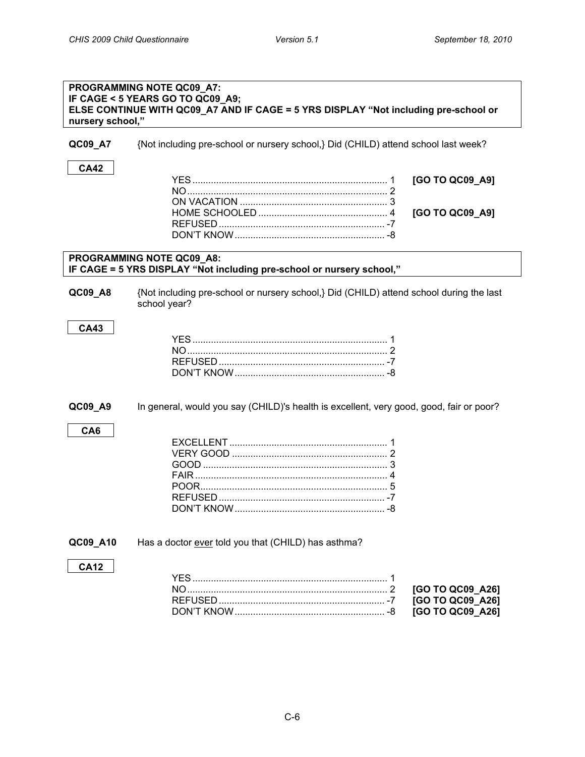<span id="page-5-0"></span>

| nursery school," | PROGRAMMING NOTE QC09_A7:<br>IF CAGE < 5 YEARS GO TO QC09_A9;<br>ELSE CONTINUE WITH QC09_A7 AND IF CAGE = 5 YRS DISPLAY "Not including pre-school or |
|------------------|------------------------------------------------------------------------------------------------------------------------------------------------------|
| QC09_A7          | {Not including pre-school or nursery school,} Did (CHILD) attend school last week?                                                                   |
| <b>CA42</b>      | [GO TO QC09_A9]<br>[GO TO QC09_A9]                                                                                                                   |
|                  |                                                                                                                                                      |
|                  | PROGRAMMING NOTE QC09_A8:<br>IF CAGE = 5 YRS DISPLAY "Not including pre-school or nursery school,"                                                   |
| QC09_A8          | {Not including pre-school or nursery school,} Did (CHILD) attend school during the last<br>school year?                                              |
| <b>CA43</b>      |                                                                                                                                                      |
| QC09_A9          | In general, would you say (CHILD)'s health is excellent, very good, good, fair or poor?                                                              |
| CA <sub>6</sub>  |                                                                                                                                                      |
| QC09_A10         | Has a doctor ever told you that (CHILD) has asthma?                                                                                                  |
| <b>CA12</b>      | [GO TO QC09_A26]<br>[GO TO QC09_A26]                                                                                                                 |

<span id="page-5-2"></span><span id="page-5-1"></span>DON'T KNOW......................................................... -8 **[GO TO QC09\_A26]**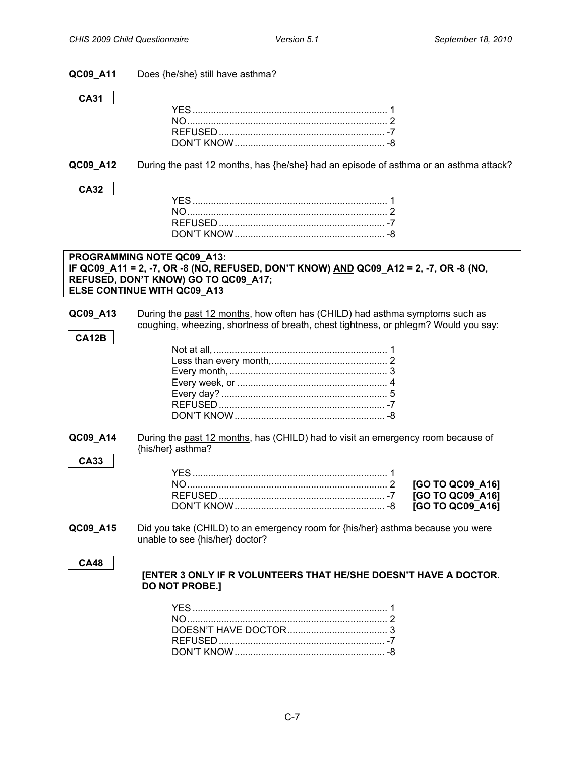| QC09_A11          | Does {he/she} still have asthma?                                                                                                                                                           |
|-------------------|--------------------------------------------------------------------------------------------------------------------------------------------------------------------------------------------|
| <b>CA31</b>       |                                                                                                                                                                                            |
| QC09_A12          | During the past 12 months, has {he/she} had an episode of asthma or an asthma attack?                                                                                                      |
| <b>CA32</b>       |                                                                                                                                                                                            |
|                   | PROGRAMMING NOTE QC09_A13:<br>IF QC09_A11 = 2, -7, OR -8 (NO, REFUSED, DON'T KNOW) AND QC09_A12 = 2, -7, OR -8 (NO,<br>REFUSED, DON'T KNOW) GO TO QC09_A17;<br>ELSE CONTINUE WITH QC09_A13 |
| QC09_A13<br>CA12B | During the past 12 months, how often has (CHILD) had asthma symptoms such as<br>coughing, wheezing, shortness of breath, chest tightness, or phlegm? Would you say:                        |
|                   |                                                                                                                                                                                            |
| QC09_A14          | During the past 12 months, has (CHILD) had to visit an emergency room because of<br>{his/her} asthma?                                                                                      |
| <b>CA33</b>       | [GO TO QC09_A16]<br>[GO TO QC09_A16]<br>[GO TO QC09_A16]                                                                                                                                   |
| QC09_A15          | Did you take (CHILD) to an emergency room for {his/her} asthma because you were<br>unable to see {his/her} doctor?                                                                         |
| <b>CA48</b>       | <b>[ENTER 3 ONLY IF R VOLUNTEERS THAT HE/SHE DOESN'T HAVE A DOCTOR.</b><br><b>DO NOT PROBE.]</b>                                                                                           |
|                   |                                                                                                                                                                                            |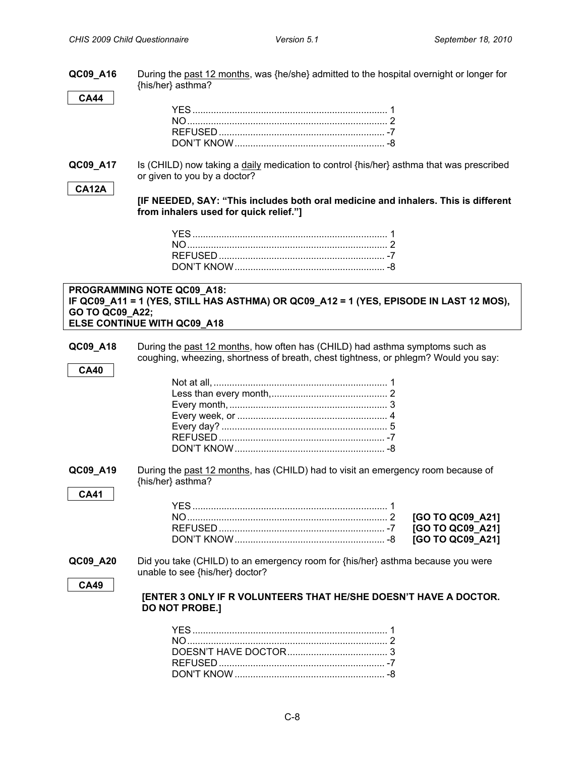| QC09_A16        | During the past 12 months, was {he/she} admitted to the hospital overnight or longer for<br>{his/her} asthma?                                       |
|-----------------|-----------------------------------------------------------------------------------------------------------------------------------------------------|
| <b>CA44</b>     |                                                                                                                                                     |
|                 |                                                                                                                                                     |
|                 |                                                                                                                                                     |
|                 |                                                                                                                                                     |
| QC09_A17        | Is (CHILD) now taking a daily medication to control {his/her} asthma that was prescribed                                                            |
|                 | or given to you by a doctor?                                                                                                                        |
| <b>CA12A</b>    | [IF NEEDED, SAY: "This includes both oral medicine and inhalers. This is different<br>from inhalers used for quick relief."]                        |
|                 |                                                                                                                                                     |
|                 |                                                                                                                                                     |
|                 |                                                                                                                                                     |
|                 |                                                                                                                                                     |
| GO TO QC09_A22; | PROGRAMMING NOTE QC09_A18:<br>IF QC09_A11 = 1 (YES, STILL HAS ASTHMA) OR QC09_A12 = 1 (YES, EPISODE IN LAST 12 MOS),<br>ELSE CONTINUE WITH QC09_A18 |
| QC09_A18        | During the past 12 months, how often has (CHILD) had asthma symptoms such as                                                                        |
|                 | coughing, wheezing, shortness of breath, chest tightness, or phlegm? Would you say:                                                                 |
| <b>CA40</b>     |                                                                                                                                                     |
|                 |                                                                                                                                                     |
|                 |                                                                                                                                                     |
|                 |                                                                                                                                                     |
|                 |                                                                                                                                                     |
|                 |                                                                                                                                                     |
|                 |                                                                                                                                                     |
| QC09_A19        | During the past 12 months, has (CHILD) had to visit an emergency room because of<br>{his/her} asthma?                                               |
| CA41            |                                                                                                                                                     |
|                 | [GO TO QC09_A21]                                                                                                                                    |
|                 | [GO TO QC09_A21]                                                                                                                                    |
|                 | [GO TO QC09_A21]                                                                                                                                    |
| QC09_A20        | Did you take (CHILD) to an emergency room for {his/her} asthma because you were                                                                     |
|                 | unable to see {his/her} doctor?                                                                                                                     |
| <b>CA49</b>     | [ENTER 3 ONLY IF R VOLUNTEERS THAT HE/SHE DOESN'T HAVE A DOCTOR.<br><b>DO NOT PROBE.]</b>                                                           |
|                 |                                                                                                                                                     |
|                 |                                                                                                                                                     |
|                 |                                                                                                                                                     |
|                 |                                                                                                                                                     |

DON'T KNOW......................................................... -8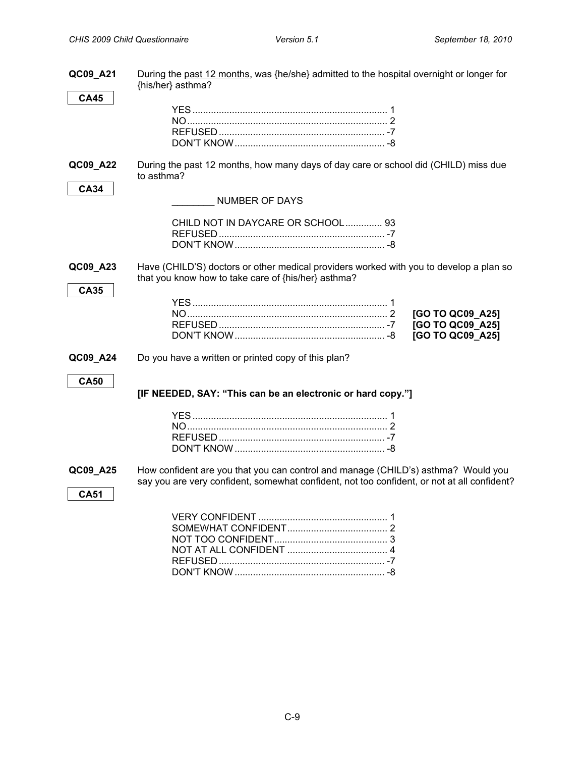| QC09_A21    | During the past 12 months, was {he/she} admitted to the hospital overnight or longer for<br>{his/her} asthma?                                                                    |
|-------------|----------------------------------------------------------------------------------------------------------------------------------------------------------------------------------|
| <b>CA45</b> |                                                                                                                                                                                  |
|             |                                                                                                                                                                                  |
|             |                                                                                                                                                                                  |
|             |                                                                                                                                                                                  |
|             |                                                                                                                                                                                  |
| QC09_A22    | During the past 12 months, how many days of day care or school did (CHILD) miss due<br>to asthma?                                                                                |
| <b>CA34</b> | <b>NUMBER OF DAYS</b>                                                                                                                                                            |
|             | CHILD NOT IN DAYCARE OR SCHOOL 93                                                                                                                                                |
|             |                                                                                                                                                                                  |
|             |                                                                                                                                                                                  |
| QC09_A23    | Have (CHILD'S) doctors or other medical providers worked with you to develop a plan so<br>that you know how to take care of {his/her} asthma?                                    |
| <b>CA35</b> |                                                                                                                                                                                  |
|             | [GO TO QC09_A25]                                                                                                                                                                 |
|             | [GO TO QC09_A25]                                                                                                                                                                 |
|             | [GO TO QC09_A25]                                                                                                                                                                 |
| QC09_A24    | Do you have a written or printed copy of this plan?                                                                                                                              |
| <b>CA50</b> |                                                                                                                                                                                  |
|             | [IF NEEDED, SAY: "This can be an electronic or hard copy."]                                                                                                                      |
|             |                                                                                                                                                                                  |
|             |                                                                                                                                                                                  |
|             |                                                                                                                                                                                  |
|             |                                                                                                                                                                                  |
| QC09_A25    | How confident are you that you can control and manage (CHILD's) asthma? Would you<br>say you are very confident, somewhat confident, not too confident, or not at all confident? |
| <b>CA51</b> |                                                                                                                                                                                  |
|             |                                                                                                                                                                                  |
|             |                                                                                                                                                                                  |
|             |                                                                                                                                                                                  |
|             |                                                                                                                                                                                  |
|             |                                                                                                                                                                                  |
|             |                                                                                                                                                                                  |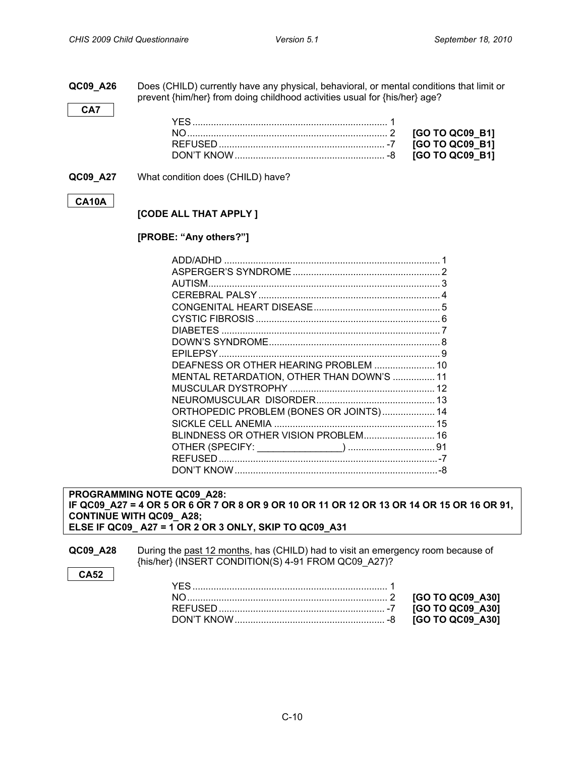<span id="page-9-0"></span>**QC09\_A26** Does (CHILD) currently have any physical, behavioral, or mental conditions that limit or prevent {him/her} from doing childhood activities usual for {his/her} age?

**QC09\_A27** What condition does (CHILD) have?

#### **CA10A**

**CA7**

#### **[CODE ALL THAT APPLY ]**

#### **[PROBE: "Any others?"]**

| 3<br>DEAFNESS OR OTHER HEARING PROBLEM  10<br>MENTAL RETARDATION, OTHER THAN DOWN'S  11 |
|-----------------------------------------------------------------------------------------|
|                                                                                         |
|                                                                                         |
|                                                                                         |
|                                                                                         |
|                                                                                         |
|                                                                                         |
|                                                                                         |
|                                                                                         |
|                                                                                         |
|                                                                                         |
|                                                                                         |
|                                                                                         |
| ORTHOPEDIC PROBLEM (BONES OR JOINTS) 14                                                 |
|                                                                                         |
| BLINDNESS OR OTHER VISION PROBLEM 16                                                    |
|                                                                                         |
|                                                                                         |
|                                                                                         |

**PROGRAMMING NOTE QC09\_A28: IF QC09\_A27 = 4 OR 5 OR 6 OR 7 OR 8 OR 9 OR 10 OR 11 OR 12 OR 13 OR 14 OR 15 OR 16 OR 91, CONTINUE WITH QC09\_ A28; ELSE IF QC09\_ A27 = 1 OR 2 OR 3 ONLY, SKIP TO QC09\_A31**

**QC09\_A28** During the past 12 months, has (CHILD) had to visit an emergency room because of {his/her} (INSERT CONDITION(S) 4-91 FROM QC09\_A27)?

**CA52**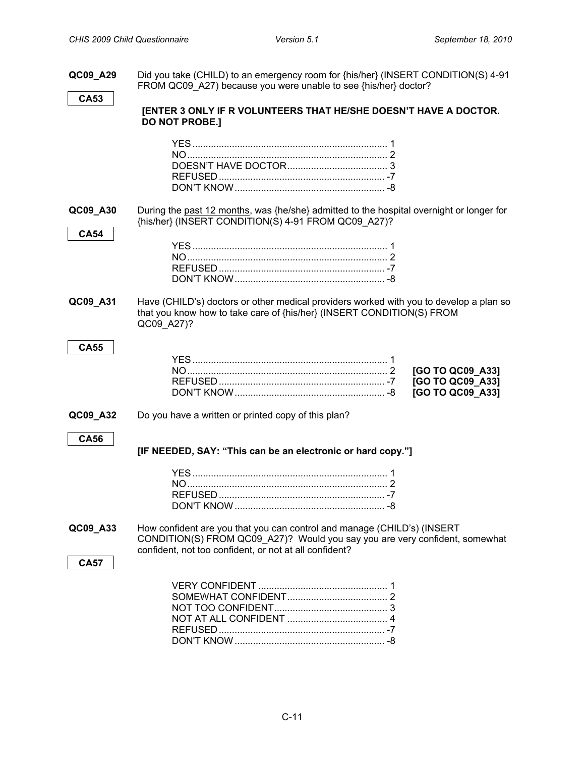**QC09 A29** Did you take (CHILD) to an emergency room for {his/her} (INSERT CONDITION(S) 4-91 FROM QC09 A27) because you were unable to see {his/her} doctor? **CA53 [ENTER 3 ONLY IF R VOLUNTEERS THAT HE/SHE DOESN'T HAVE A DOCTOR. DO NOT PROBE.]** YES.......................................................................... 1 NO............................................................................ 2 DOESN'T HAVE DOCTOR...................................... 3 REFUSED............................................................... -7 DON'T KNOW......................................................... -8 **QC09\_A30** During the past 12 months, was {he/she} admitted to the hospital overnight or longer for {his/her} (INSERT CONDITION(S) 4-91 FROM QC09\_A27)? **CA54** YES.......................................................................... 1 NO............................................................................ 2 REFUSED............................................................... -7 DON'T KNOW......................................................... -8 **QC09\_A31** Have (CHILD's) doctors or other medical providers worked with you to develop a plan so that you know how to take care of {his/her} (INSERT CONDITION(S) FROM QC09\_A27)? **CA55** YES.......................................................................... 1 NO............................................................................ 2 **[GO TO QC09\_A33]** REFUSED............................................................... -7 **[GO TO QC09\_A33]** DON'T KNOW......................................................... -8 **[GO TO QC09\_A33] QC09\_A32** Do you have a written or printed copy of this plan? **CA56 [IF NEEDED, SAY: "This can be an electronic or hard copy."]** YES.......................................................................... 1 NO............................................................................ 2 REFUSED............................................................... -7 DON'T KNOW......................................................... -8 **QC09\_A33** How confident are you that you can control and manage (CHILD's) (INSERT CONDITION(S) FROM QC09\_A27)? Would you say you are very confident, somewhat confident, not too confident, or not at all confident? **CA57** VERY CONFIDENT ................................................. 1 SOMEWHAT CONFIDENT...................................... 2 NOT TOO CONFIDENT........................................... 3 NOT AT ALL CONFIDENT ...................................... 4 REFUSED............................................................... -7 DON'T KNOW......................................................... -8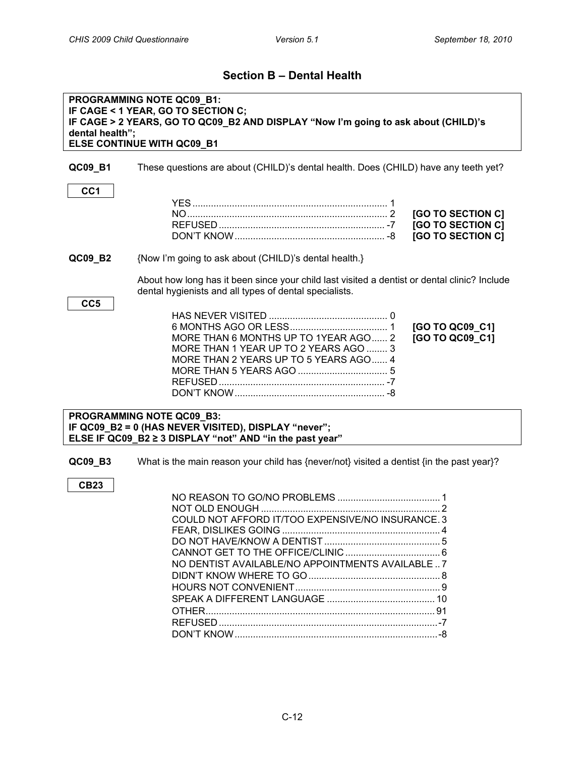### **Section B – Dental Health**

<span id="page-11-0"></span>

| PROGRAMMING NOTE QC09_B1:<br>IF CAGE < 1 YEAR, GO TO SECTION C;<br>IF CAGE > 2 YEARS, GO TO QC09_B2 AND DISPLAY "Now I'm going to ask about (CHILD)'s<br>dental health";<br>ELSE CONTINUE WITH QC09_B1 |                                                                                                                                                              |  |
|--------------------------------------------------------------------------------------------------------------------------------------------------------------------------------------------------------|--------------------------------------------------------------------------------------------------------------------------------------------------------------|--|
| QC09_B1                                                                                                                                                                                                | These questions are about (CHILD)'s dental health. Does (CHILD) have any teeth yet?                                                                          |  |
| CC <sub>1</sub>                                                                                                                                                                                        | [GO TO SECTION C]<br><b>[GO TO SECTION C]</b><br>[GO TO SECTION C]                                                                                           |  |
| QC09_B2                                                                                                                                                                                                | {Now I'm going to ask about (CHILD)'s dental health.}                                                                                                        |  |
| CC <sub>5</sub>                                                                                                                                                                                        | About how long has it been since your child last visited a dentist or dental clinic? Include<br>dental hygienists and all types of dental specialists.       |  |
|                                                                                                                                                                                                        | [GO TO QC09_C1]<br>[GO TO QC09 C1]<br>MORE THAN 6 MONTHS UP TO 1YEAR AGO 2<br>MORE THAN 1 YEAR UP TO 2 YEARS AGO  3<br>MORE THAN 2 YEARS UP TO 5 YEARS AGO 4 |  |
|                                                                                                                                                                                                        | PROGRAMMING NOTE QC09_B3:<br>IF QC09_B2 = 0 (HAS NEVER VISITED), DISPLAY "never";<br>ELSE IF QC09 B2 ≥ 3 DISPLAY "not" AND "in the past year"                |  |
| QC09_B3<br><b>CB23</b>                                                                                                                                                                                 | What is the main reason your child has {never/not} visited a dentist {in the past year}?                                                                     |  |
|                                                                                                                                                                                                        | COULD NOT AFFORD IT/TOO EXPENSIVE/NO INSURANCE. 3<br>NO DENTIST AVAILABLE/NO APPOINTMENTS AVAILABLE  7                                                       |  |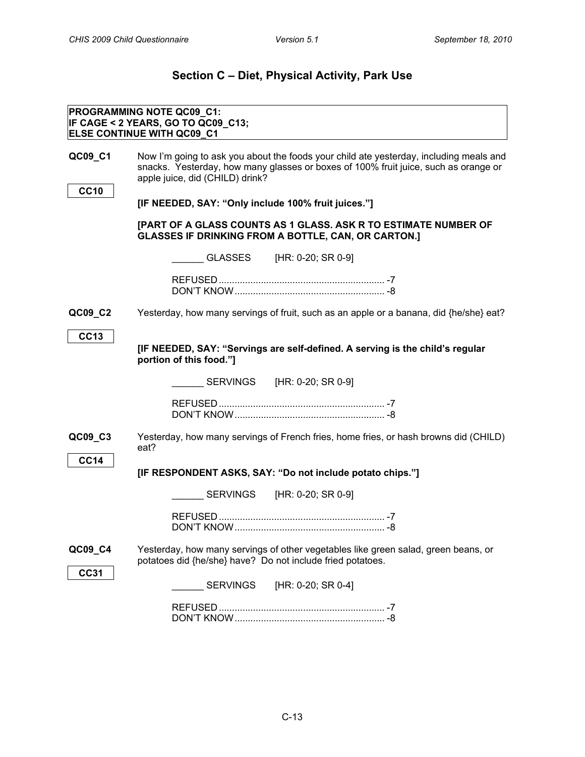<span id="page-12-1"></span><span id="page-12-0"></span>**DIETARY INTAKE**

## **Section C – Diet, Physical Activity, Park Use**

|             | <b>PROGRAMMING NOTE QC09_C1:</b><br>IF CAGE < 2 YEARS, GO TO QC09_C13;                                                                                                                                           |
|-------------|------------------------------------------------------------------------------------------------------------------------------------------------------------------------------------------------------------------|
|             | <b>ELSE CONTINUE WITH QC09_C1</b>                                                                                                                                                                                |
| QC09_C1     | Now I'm going to ask you about the foods your child ate yesterday, including meals and<br>snacks. Yesterday, how many glasses or boxes of 100% fruit juice, such as orange or<br>apple juice, did (CHILD) drink? |
| <b>CC10</b> |                                                                                                                                                                                                                  |
|             | [IF NEEDED, SAY: "Only include 100% fruit juices."]                                                                                                                                                              |
|             | [PART OF A GLASS COUNTS AS 1 GLASS. ASK R TO ESTIMATE NUMBER OF<br><b>GLASSES IF DRINKING FROM A BOTTLE, CAN, OR CARTON.]</b>                                                                                    |
|             | GLASSES [HR: 0-20; SR 0-9]                                                                                                                                                                                       |
|             |                                                                                                                                                                                                                  |
|             |                                                                                                                                                                                                                  |
| QC09_C2     | Yesterday, how many servings of fruit, such as an apple or a banana, did {he/she} eat?                                                                                                                           |
| <b>CC13</b> |                                                                                                                                                                                                                  |
|             | [IF NEEDED, SAY: "Servings are self-defined. A serving is the child's regular<br>portion of this food."]                                                                                                         |
|             |                                                                                                                                                                                                                  |
|             |                                                                                                                                                                                                                  |
|             |                                                                                                                                                                                                                  |
| QC09_C3     | Yesterday, how many servings of French fries, home fries, or hash browns did (CHILD)<br>eat?                                                                                                                     |
| <b>CC14</b> |                                                                                                                                                                                                                  |
|             | [IF RESPONDENT ASKS, SAY: "Do not include potato chips."]                                                                                                                                                        |
|             |                                                                                                                                                                                                                  |
|             |                                                                                                                                                                                                                  |
|             |                                                                                                                                                                                                                  |
| QC09_C4     | Yesterday, how many servings of other vegetables like green salad, green beans, or<br>potatoes did {he/she} have? Do not include fried potatoes.                                                                 |
| <b>CC31</b> | <b>SERVINGS</b><br>[HR: 0-20; SR 0-4]                                                                                                                                                                            |
|             |                                                                                                                                                                                                                  |
|             |                                                                                                                                                                                                                  |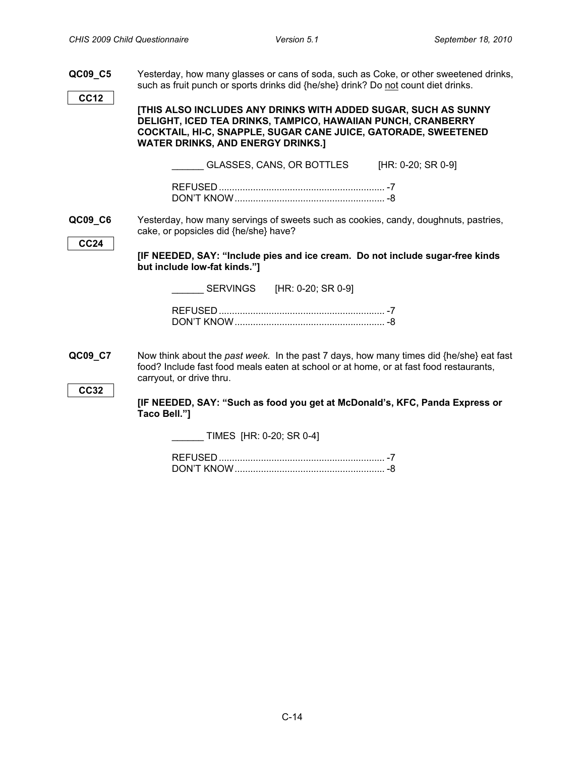- <span id="page-13-0"></span>**QC09\_C5** Yesterday, how many glasses or cans of soda, such as Coke, or other sweetened drinks, such as fruit punch or sports drinks did {he/she} drink? Do not count diet drinks. **CC12 [THIS ALSO INCLUDES ANY DRINKS WITH ADDED SUGAR, SUCH AS SUNNY DELIGHT, ICED TEA DRINKS, TAMPICO, HAWAIIAN PUNCH, CRANBERRY COCKTAIL, HI-C, SNAPPLE, SUGAR CANE JUICE, GATORADE, SWEETENED WATER DRINKS, AND ENERGY DRINKS.]** GLASSES, CANS, OR BOTTLES [HR: 0-20; SR 0-9] REFUSED............................................................... -7 DON'T KNOW......................................................... -8 **QC09\_C6** Yesterday, how many servings of sweets such as cookies, candy, doughnuts, pastries, cake, or popsicles did {he/she} have? **CC24 [IF NEEDED, SAY: "Include pies and ice cream. Do not include sugar-free kinds but include low-fat kinds."]** SERVINGS [HR: 0-20; SR 0-9] REFUSED............................................................... -7 DON'T KNOW......................................................... -8 **QC09\_C7** Now think about the *past week.* In the past 7 days, how many times did {he/she} eat fast food? Include fast food meals eaten at school or at home, or at fast food restaurants, carryout, or drive thru. **CC32 [IF NEEDED, SAY: "Such as food you get at McDonald's, KFC, Panda Express or Taco Bell."]** \_\_\_\_\_\_ TIMES [HR: 0-20; SR 0-4] REFUSED............................................................... -7
	- DON'T KNOW......................................................... -8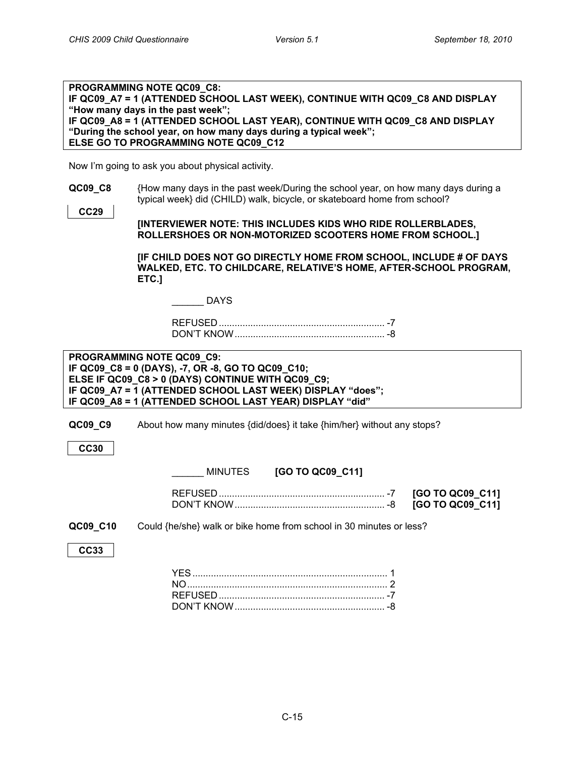<span id="page-14-0"></span>**COMMUTE FROM SCHOOL TO HOME**

| <b>PROGRAMMING NOTE QC09 C8:</b>                                              |
|-------------------------------------------------------------------------------|
| IF QC09 A7 = 1 (ATTENDED SCHOOL LAST WEEK), CONTINUE WITH QC09 C8 AND DISPLAY |
| "How many days in the past week";                                             |
| IF QC09 A8 = 1 (ATTENDED SCHOOL LAST YEAR), CONTINUE WITH QC09 C8 AND DISPLAY |
| "During the school year, on how many days during a typical week";             |
| ELSE GO TO PROGRAMMING NOTE QC09 C12                                          |

Now I'm going to ask you about physical activity.

**QC09 C8** {How many days in the past week/During the school year, on how many days during a typical week} did (CHILD) walk, bicycle, or skateboard home from school?

> **[INTERVIEWER NOTE: THIS INCLUDES KIDS WHO RIDE ROLLERBLADES, ROLLERSHOES OR NON-MOTORIZED SCOOTERS HOME FROM SCHOOL.]**

**[IF CHILD DOES NOT GO DIRECTLY HOME FROM SCHOOL, INCLUDE # OF DAYS WALKED, ETC. TO CHILDCARE, RELATIVE'S HOME, AFTER-SCHOOL PROGRAM, ETC.]**

|  |  |  | DAYS |  |  |  |
|--|--|--|------|--|--|--|
|  |  |  |      |  |  |  |

REFUSED............................................................... -7 DON'T KNOW......................................................... -8

**PROGRAMMING NOTE QC09\_C9: IF QC09\_C8 = 0 (DAYS), -7, OR -8, GO TO QC09\_C10; ELSE IF QC09\_C8 > 0 (DAYS) CONTINUE WITH QC09\_C9; IF QC09\_A7 = 1 (ATTENDED SCHOOL LAST WEEK) DISPLAY "does"; IF QC09\_A8 = 1 (ATTENDED SCHOOL LAST YEAR) DISPLAY "did"**

**QC09\_C9** About how many minutes {did/does} it take {him/her} without any stops?

**CC30**

**CC29**

\_\_\_\_\_\_ MINUTES **[GO TO QC09\_C11]**

|  | 7 [GO TO QC09_C11] |
|--|--------------------|
|  |                    |

**QC09 C10** Could {he/she} walk or bike home from school in 30 minutes or less?

**CC33**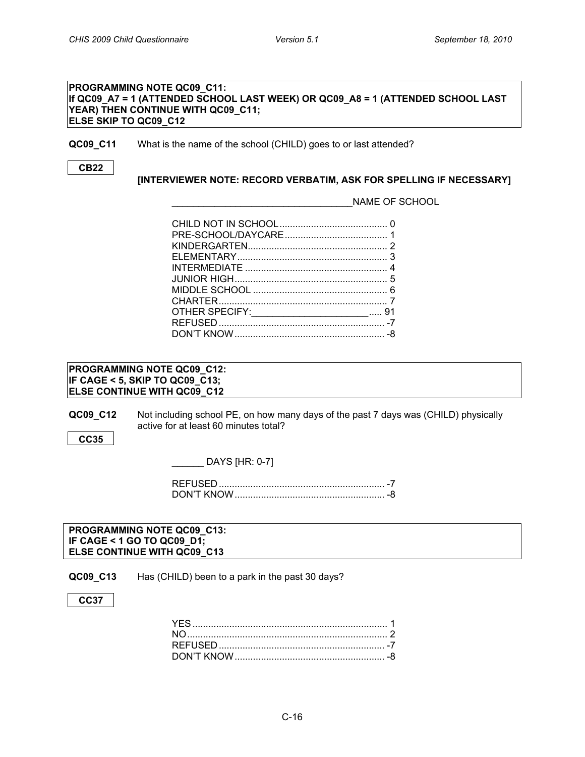<span id="page-15-0"></span>**NAME OF SCHOOL**

#### **PROGRAMMING NOTE QC09\_C11: If QC09\_A7 = 1 (ATTENDED SCHOOL LAST WEEK) OR QC09\_A8 = 1 (ATTENDED SCHOOL LAST YEAR) THEN CONTINUE WITH QC09\_C11; ELSE SKIP TO QC09\_C12**

#### **QC09\_C11** What is the name of the school (CHILD) goes to or last attended?

**CB22**

**[INTERVIEWER NOTE: RECORD VERBATIM, ASK FOR SPELLING IF NECESSARY]**

\_\_\_\_\_\_\_\_\_\_\_\_\_\_\_\_\_\_\_\_\_\_\_\_\_\_\_\_\_\_\_\_\_\_NAME OF SCHOOL

| OTHER SPECIFY:________________________ 91 |  |
|-------------------------------------------|--|
|                                           |  |
|                                           |  |
|                                           |  |

#### **PROGRAMMING NOTE QC09\_C12: IF CAGE < 5, SKIP TO QC09\_C13; ELSE CONTINUE WITH QC09\_C12**

**QC09\_C12** Not including school PE, on how many days of the past 7 days was (CHILD) physically active for at least 60 minutes total?

**CC35**

<span id="page-15-1"></span>**PHYSICAL ACTIVITY**

\_\_\_\_\_\_ DAYS [HR: 0-7]

#### <span id="page-15-2"></span>**PARK USE PROGRAMMING NOTE QC09\_C13: IF CAGE < 1 GO TO QC09\_D1; ELSE CONTINUE WITH QC09\_C13**

**QC09\_C13** Has (CHILD) been to a park in the past 30 days?

#### **CC37**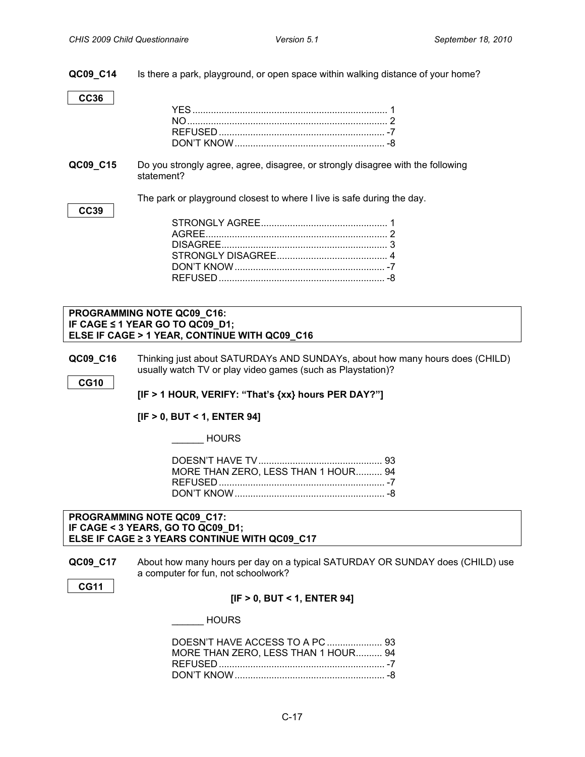**QC09\_C14** Is there a park, playground, or open space within walking distance of your home?

**CC36**

**CC39**

**QC09\_C15** Do you strongly agree, agree, disagree, or strongly disagree with the following statement?

The park or playground closest to where I live is safe during the day.

#### **PROGRAMMING NOTE QC09\_C16: IF CAGE ≤ 1 YEAR GO TO QC09\_D1; ELSE IF CAGE > 1 YEAR, CONTINUE WITH QC09\_C16**

**QC09 C16** Thinking just about SATURDAYs AND SUNDAYs, about how many hours does (CHILD) usually watch TV or play video games (such as Playstation)?

**CG10**

<span id="page-16-0"></span>**SEDENTARY TIME** 

**[IF > 1 HOUR, VERIFY: "That's {xx} hours PER DAY?"]**

**[IF > 0, BUT < 1, ENTER 94]**

\_\_\_\_\_\_ HOURS

| MORE THAN ZERO, LESS THAN 1 HOUR 94 |  |
|-------------------------------------|--|
|                                     |  |
|                                     |  |

#### **PROGRAMMING NOTE QC09\_C17: IF CAGE < 3 YEARS, GO TO QC09\_D1; ELSE IF CAGE ≥ 3 YEARS CONTINUE WITH QC09\_C17**

**QC09\_C17** About how many hours per day on a typical SATURDAY OR SUNDAY does (CHILD) use a computer for fun, not schoolwork?

**CG11**

#### **[IF > 0, BUT < 1, ENTER 94]**

\_\_\_\_\_\_ HOURS

| DOESN'T HAVE ACCESS TO A PC  93     |  |
|-------------------------------------|--|
| MORE THAN ZERO. LESS THAN 1 HOUR 94 |  |
|                                     |  |
|                                     |  |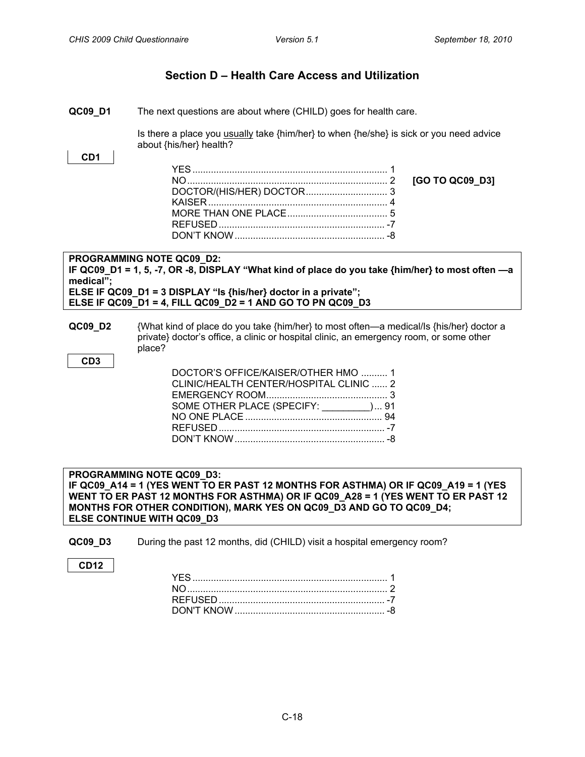### **Section D – Health Care Access and Utilization**

<span id="page-17-1"></span><span id="page-17-0"></span>**QC09 D1** The next questions are about where (CHILD) goes for health care.

Is there a place you usually take {him/her} to when {he/she} is sick or you need advice about {his/her} health?

#### **CD1**

**PROGRAMMING NOTE QC09\_D2: IF QC09\_D1 = 1, 5, -7, OR -8, DISPLAY "What kind of place do you take {him/her} to most often —a medical"; ELSE IF QC09\_D1 = 3 DISPLAY "Is {his/her} doctor in a private"; ELSE IF QC09\_D1 = 4, FILL QC09\_D2 = 1 AND GO TO PN QC09\_D3**

**QC09\_D2** {What kind of place do you take {him/her} to most often—a medical/Is {his/her} doctor a private} doctor's office, a clinic or hospital clinic, an emergency room, or some other place?

**CD3**

| DOCTOR'S OFFICE/KAISER/OTHER HMO  1     |  |
|-----------------------------------------|--|
| CLINIC/HEALTH CENTER/HOSPITAL CLINIC  2 |  |
|                                         |  |
| SOME OTHER PLACE (SPECIFY: ________) 91 |  |
|                                         |  |
|                                         |  |
|                                         |  |
|                                         |  |

<span id="page-17-2"></span>**EMERGENCY ROOM (GENERAL) PROGRAMMING NOTE QC09\_D3: IF QC09\_A14 = 1 (YES WENT TO ER PAST 12 MONTHS FOR ASTHMA) OR IF QC09\_A19 = 1 (YES WENT TO ER PAST 12 MONTHS FOR ASTHMA) OR IF QC09\_A28 = 1 (YES WENT TO ER PAST 12 MONTHS FOR OTHER CONDITION), MARK YES ON QC09\_D3 AND GO TO QC09\_D4; ELSE CONTINUE WITH QC09\_D3**

- **QC09\_D3** During the past 12 months, did (CHILD) visit a hospital emergency room?
- **CD12**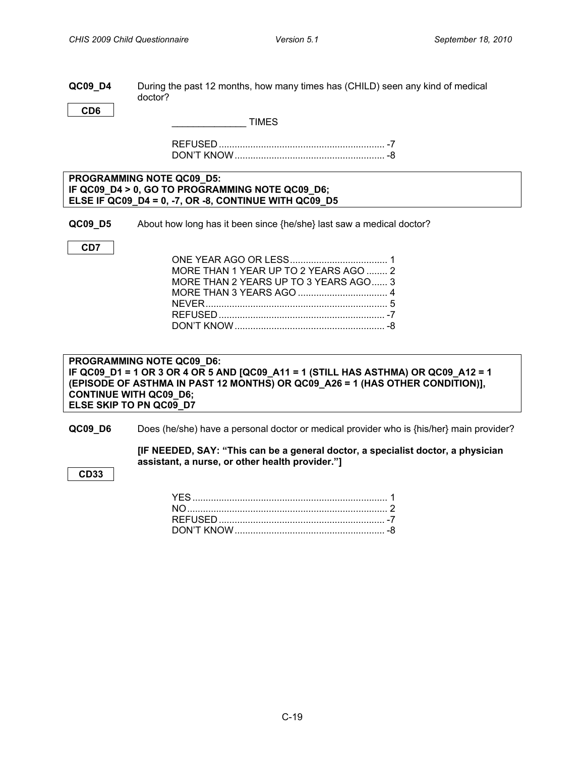#### <span id="page-18-0"></span>**QC09 D4** During the past 12 months, how many times has (CHILD) seen any kind of medical doctor?

**CD6**

\_\_\_\_\_\_\_\_\_\_\_\_\_\_ TIMES

REFUSED............................................................... -7 DON'T KNOW......................................................... -8

#### **PROGRAMMING NOTE QC09\_D5: IF QC09\_D4 > 0, GO TO PROGRAMMING NOTE QC09\_D6; ELSE IF QC09\_D4 = 0, -7, OR -8, CONTINUE WITH QC09\_D5**

**QC09 D5** About how long has it been since {he/she} last saw a medical doctor?

**CD7**

<span id="page-18-1"></span>**PERSONAL DOCTOR**

| MORE THAN 1 YEAR UP TO 2 YEARS AGO  2 |  |
|---------------------------------------|--|
| MORE THAN 2 YEARS UP TO 3 YEARS AGO 3 |  |
|                                       |  |
|                                       |  |
|                                       |  |
|                                       |  |

**PROGRAMMING NOTE QC09\_D6: IF QC09\_D1 = 1 OR 3 OR 4 OR 5 AND [QC09\_A11 = 1 (STILL HAS ASTHMA) OR QC09\_A12 = 1 (EPISODE OF ASTHMA IN PAST 12 MONTHS) OR QC09\_A26 = 1 (HAS OTHER CONDITION)], CONTINUE WITH QC09\_D6; ELSE SKIP TO PN QC09\_D7**

**QC09\_D6** Does (he/she) have a personal doctor or medical provider who is {his/her} main provider?

**[IF NEEDED, SAY: "This can be a general doctor, a specialist doctor, a physician assistant, a nurse, or other health provider."]**

**CD33**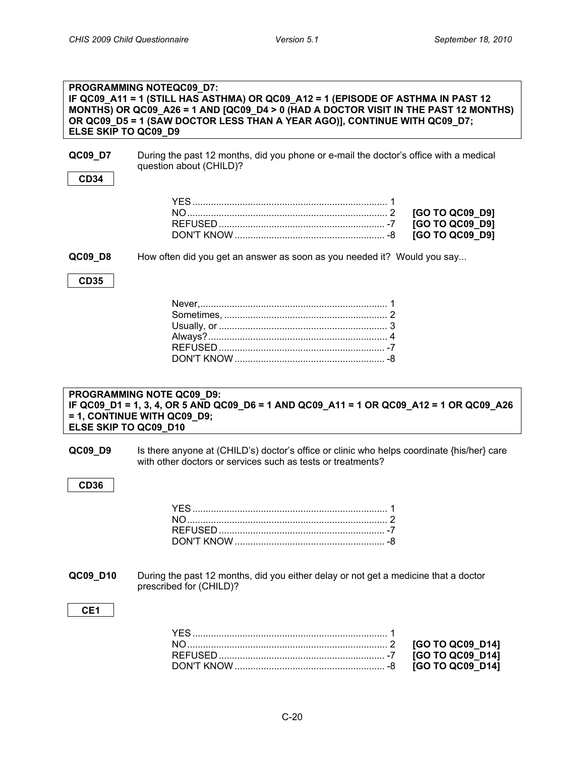<span id="page-19-0"></span>**PATIENT-CENTERED CARE: INFORMATION**

<span id="page-19-2"></span><span id="page-19-1"></span>

| ELSE SKIP TO QC09 D9  | PROGRAMMING NOTEQC09_D7:<br>IF QC09_A11 = 1 (STILL HAS ASTHMA) OR QC09_A12 = 1 (EPISODE OF ASTHMA IN PAST 12<br>MONTHS) OR QC09_A26 = 1 AND [QC09_D4 > 0 (HAD A DOCTOR VISIT IN THE PAST 12 MONTHS)<br>OR QC09_D5 = 1 (SAW DOCTOR LESS THAN A YEAR AGO)], CONTINUE WITH QC09_D7; |
|-----------------------|----------------------------------------------------------------------------------------------------------------------------------------------------------------------------------------------------------------------------------------------------------------------------------|
| QC09_D7               | During the past 12 months, did you phone or e-mail the doctor's office with a medical<br>question about (CHILD)?                                                                                                                                                                 |
| <b>CD34</b>           |                                                                                                                                                                                                                                                                                  |
|                       | NO 2<br>[GO TO QC09_D9]<br>[GO TO QC09_D9]<br>[GO TO QC09_D9]                                                                                                                                                                                                                    |
| QC09_D8               | How often did you get an answer as soon as you needed it? Would you say                                                                                                                                                                                                          |
| <b>CD35</b>           |                                                                                                                                                                                                                                                                                  |
|                       |                                                                                                                                                                                                                                                                                  |
|                       |                                                                                                                                                                                                                                                                                  |
| ELSE SKIP TO QC09_D10 | PROGRAMMING NOTE QC09_D9:<br>IF QC09_D1 = 1, 3, 4, OR 5 AND QC09_D6 = 1 AND QC09_A11 = 1 OR QC09_A12 = 1 OR QC09_A26<br>= 1, CONTINUE WITH QC09_D9;                                                                                                                              |
|                       |                                                                                                                                                                                                                                                                                  |
| QC09_D9               | Is there anyone at (CHILD's) doctor's office or clinic who helps coordinate {his/her} care<br>with other doctors or services such as tests or treatments?                                                                                                                        |
| <b>CD36</b>           |                                                                                                                                                                                                                                                                                  |
|                       |                                                                                                                                                                                                                                                                                  |
| QC09_D10              | During the past 12 months, did you either delay or not get a medicine that a doctor<br>prescribed for (CHILD)?                                                                                                                                                                   |
| CE <sub>1</sub>       |                                                                                                                                                                                                                                                                                  |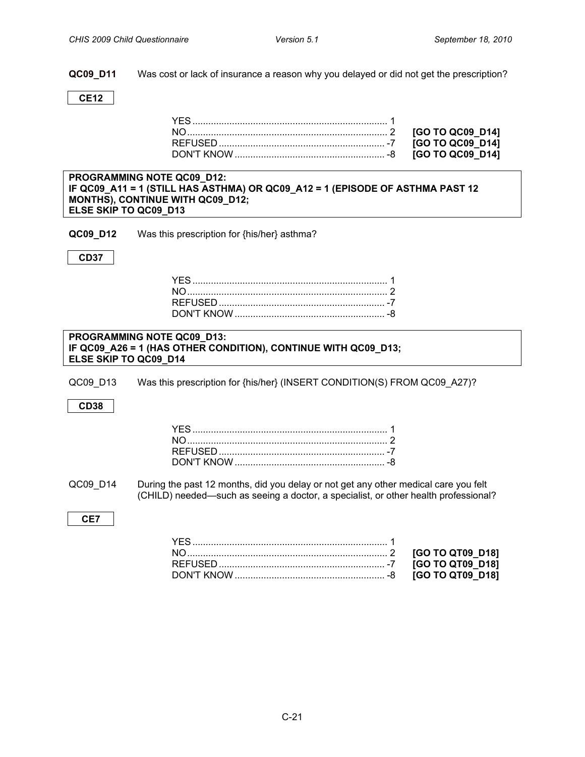**QC09\_D11** Was cost or lack of insurance a reason why you delayed or did not get the prescription?

**CE12**

NO............................................................................ 2 **[GO TO QC09\_D14]**  $\overline{G}$  $\overline{G}$  $\overline{G}$  $\overline{G}$  $\overline{G}$  $\overline{G}$  $\overline{G}$  $\overline{G}$  $\overline{G}$  $\overline{G}$  $\overline{G}$  $\overline{G}$  $\overline{G}$  $\overline{G}$  $\overline{G}$  $\overline{G}$  $\overline{G}$  $\overline{G}$  $\overline{G}$  $[GO TO QC09_D14]$ 

| <b>PROGRAMMING NOTE QC09 D12:</b>                                                                                        |  |
|--------------------------------------------------------------------------------------------------------------------------|--|
| IF QC09_A11 = 1 (STILL HAS ASTHMA) OR QC09_A12 = 1 (EPISODE OF ASTHMA PAST 12<br><b>MONTHS), CONTINUE WITH QC09 D12;</b> |  |
| ELSE SKIP TO QC09 D13                                                                                                    |  |
|                                                                                                                          |  |

**QC09\_D12** Was this prescription for {his/her} asthma?

**CD37**

| <b>PROGRAMMING NOTE QC09_D13:</b>                              |
|----------------------------------------------------------------|
| IF QC09_A26 = 1 (HAS OTHER CONDITION), CONTINUE WITH QC09_D13; |
| <b>ELSE SKIP TO QC09_D14</b>                                   |

QC09\_D13 Was this prescription for {his/her} (INSERT CONDITION(S) FROM QC09\_A27)?

**CD38**

QC09 D14 During the past 12 months, did you delay or not get any other medical care you felt (CHILD) needed—such as seeing a doctor, a specialist, or other health professional?

**CE7**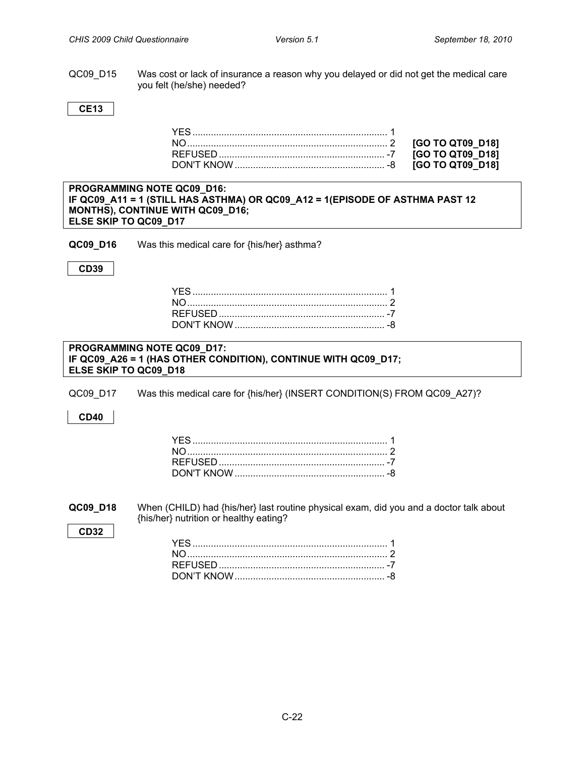QC09 D15 Was cost or lack of insurance a reason why you delayed or did not get the medical care you felt (he/she) needed?

**CE13**

| <b>PROGRAMMING NOTE QC09 D16:</b>                                            |
|------------------------------------------------------------------------------|
| IF QC09_A11 = 1 (STILL HAS ASTHMA) OR QC09_A12 = 1(EPISODE OF ASTHMA PAST 12 |
| <b>MONTHS), CONTINUE WITH QC09 D16;</b>                                      |
| ELSE SKIP TO QC09 D17                                                        |

**QC09\_D16** Was this medical care for {his/her} asthma?

**CD39**

#### **PROGRAMMING NOTE QC09\_D17: IF QC09\_A26 = 1 (HAS OTHER CONDITION), CONTINUE WITH QC09\_D17; ELSE SKIP TO QC09\_D18**

QC09\_D17 Was this medical care for {his/her} (INSERT CONDITION(S) FROM QC09\_A27)?

**CD40**

<span id="page-21-0"></span>**QC09\_D18** When (CHILD) had {his/her} last routine physical exam, did you and a doctor talk about {his/her} nutrition or healthy eating?

**CD32**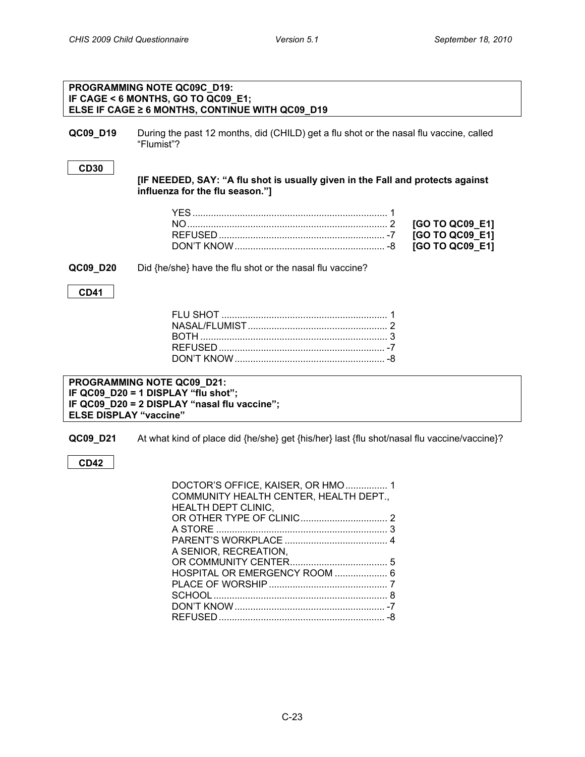<span id="page-22-0"></span>

|                               | PROGRAMMING NOTE QC09C_D19:<br>IF CAGE < 6 MONTHS, GO TO QC09 E1;<br>ELSE IF CAGE ≥ 6 MONTHS, CONTINUE WITH QC09 D19                                         |                                                       |
|-------------------------------|--------------------------------------------------------------------------------------------------------------------------------------------------------------|-------------------------------------------------------|
| QC09_D19                      | During the past 12 months, did (CHILD) get a flu shot or the nasal flu vaccine, called<br>"Flumist"?                                                         |                                                       |
| <b>CD30</b>                   | [IF NEEDED, SAY: "A flu shot is usually given in the Fall and protects against<br>influenza for the flu season."]                                            |                                                       |
|                               |                                                                                                                                                              | [GO TO QC09_E1]<br>[GO TO QC09_E1]<br>[GO TO QC09_E1] |
| QC09_D20                      | Did {he/she} have the flu shot or the nasal flu vaccine?                                                                                                     |                                                       |
| <b>CD41</b>                   |                                                                                                                                                              |                                                       |
|                               |                                                                                                                                                              |                                                       |
| <b>ELSE DISPLAY "vaccine"</b> | PROGRAMMING NOTE QC09_D21:<br>IF QC09_D20 = 1 DISPLAY "flu shot";<br>IF QC09_D20 = 2 DISPLAY "nasal flu vaccine";                                            |                                                       |
| QC09_D21                      | At what kind of place did {he/she} get {his/her} last {flu shot/nasal flu vaccine/vaccine}?                                                                  |                                                       |
| <b>CD42</b>                   |                                                                                                                                                              |                                                       |
|                               | DOCTOR'S OFFICE, KAISER, OR HMO 1<br>COMMUNITY HEALTH CENTER, HEALTH DEPT.,<br>HEALTH DEPT CLINIC,<br>A SENIOR, RECREATION,<br>HOSPITAL OR EMERGENCY ROOM  6 |                                                       |

PLACE OF WORSHIP............................................. 7 SCHOOL.................................................................. 8 DON'T KNOW......................................................... -7 REFUSED............................................................... -8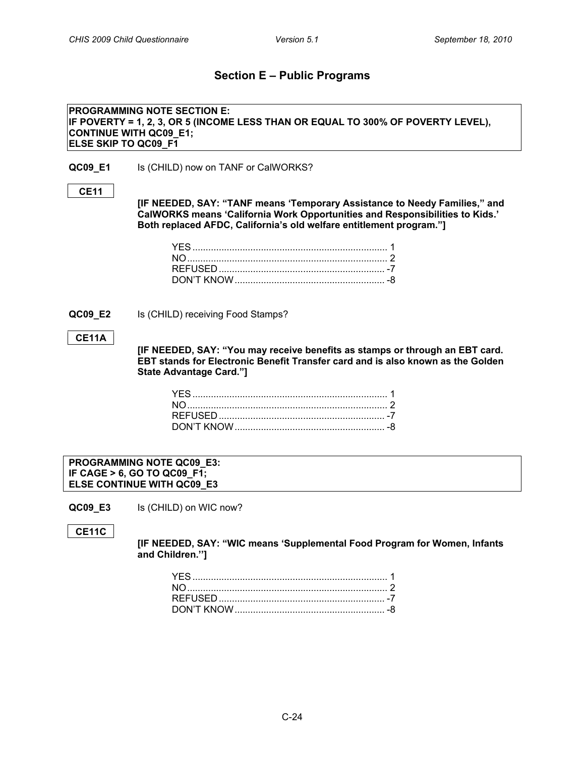### **Section E – Public Programs**

<span id="page-23-1"></span><span id="page-23-0"></span>**TANF/CalWORKS PROGRAMMING NOTE SECTION E: IF POVERTY = 1, 2, 3, OR 5 (INCOME LESS THAN OR EQUAL TO 300% OF POVERTY LEVEL), CONTINUE WITH QC09\_E1; ELSE SKIP TO QC09\_F1**

**QC09\_E1** Is (CHILD) now on TANF or CalWORKS?

#### **CE11**

**[IF NEEDED, SAY: "TANF means 'Temporary Assistance to Needy Families," and CalWORKS means 'California Work Opportunities and Responsibilities to Kids.' Both replaced AFDC, California's old welfare entitlement program."]**

<span id="page-23-2"></span>**QC09\_E2** Is (CHILD) receiving Food Stamps?

#### **CE11A**

**[IF NEEDED, SAY: "You may receive benefits as stamps or through an EBT card. EBT stands for Electronic Benefit Transfer card and is also known as the Golden State Advantage Card."]**

**PROGRAMMING NOTE QC09\_E3: IF CAGE > 6, GO TO QC09\_F1; ELSE CONTINUE WITH QC09\_E3**

**QC09\_E3** Is (CHILD) on WIC now?

**CE11C**

<span id="page-23-3"></span>**WICCO** 

**[IF NEEDED, SAY: "WIC means 'Supplemental Food Program for Women, Infants and Children.'']**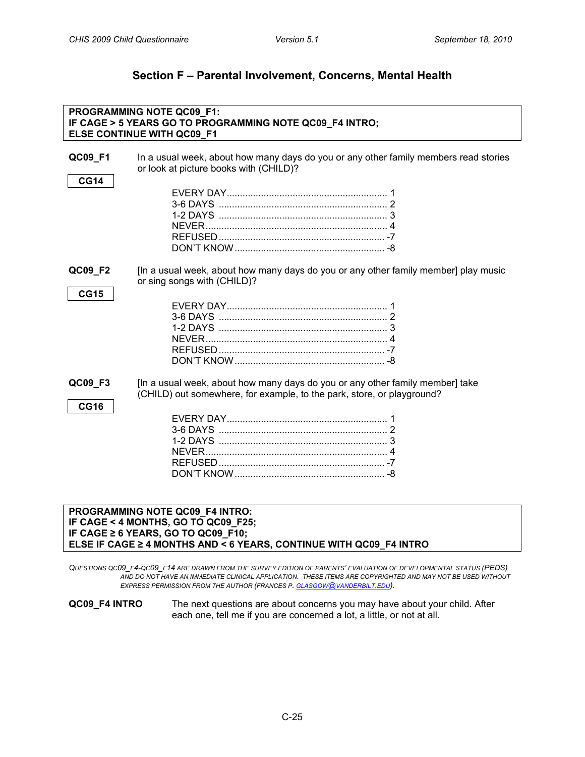### **Section F – Parental Involvement, Concerns, Mental Health**

<span id="page-24-1"></span><span id="page-24-0"></span>

|                        | PROGRAMMING NOTE QC09_F1:<br>IF CAGE > 5 YEARS GO TO PROGRAMMING NOTE QC09_F4 INTRO;<br>ELSE CONTINUE WITH QC09_F1                                                                                                                                                                                          |
|------------------------|-------------------------------------------------------------------------------------------------------------------------------------------------------------------------------------------------------------------------------------------------------------------------------------------------------------|
| QC09_F1<br><b>CG14</b> | In a usual week, about how many days do you or any other family members read stories<br>or look at picture books with (CHILD)?                                                                                                                                                                              |
|                        | 3-6 DAYS 2                                                                                                                                                                                                                                                                                                  |
| QC09_F2<br><b>CG15</b> | [In a usual week, about how many days do you or any other family member] play music<br>or sing songs with (CHILD)?                                                                                                                                                                                          |
|                        |                                                                                                                                                                                                                                                                                                             |
| QC09_F3<br><b>CG16</b> | [In a usual week, about how many days do you or any other family member] take<br>(CHILD) out somewhere, for example, to the park, store, or playground?                                                                                                                                                     |
|                        |                                                                                                                                                                                                                                                                                                             |
|                        | PROGRAMMING NOTE QC09_F4 INTRO:<br>IF CAGE < 4 MONTHS, GO TO QC09_F25;<br>IF CAGE ≥ 6 YEARS, GO TO QC09_F10;<br>ELSE IF CAGE ≥ 4 MONTHS AND < 6 YEARS, CONTINUE WITH QC09_F4 INTRO                                                                                                                          |
|                        | QUESTIONS QC09 F4-QC09 F14 ARE DRAWN FROM THE SURVEY EDITION OF PARENTS' EVALUATION OF DEVELOPMENTAL STATUS (PEDS)<br>AND DO NOT HAVE AN IMMEDIATE CLINICAL APPLICATION. THESE ITEMS ARE COPYRIGHTED AND MAY NOT BE USED WITHOUT<br>EXPRESS PERMISSION FROM THE AUTHOR (FRANCES P. GLASGOW@VANDERBILT.EDU). |

<span id="page-24-2"></span>**QC09\_F4 INTRO** The next questions are about concerns you may have about your child. After each one, tell me if you are concerned a lot, a little, or not at all.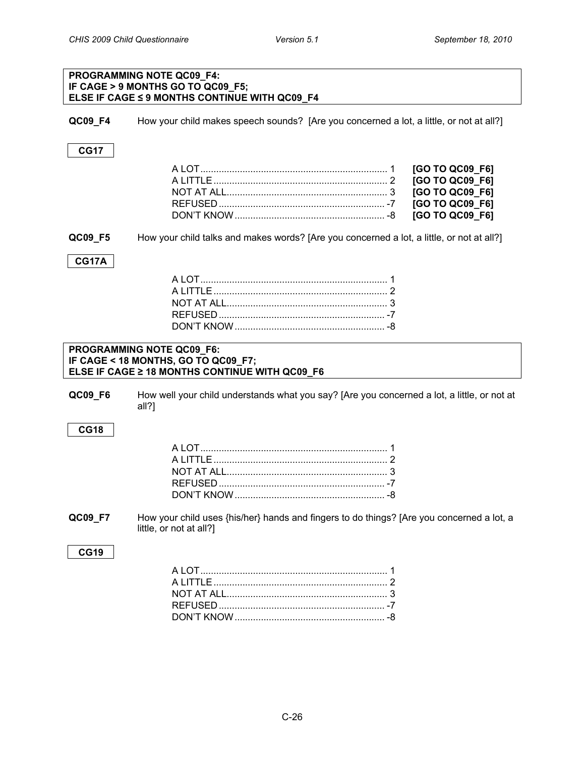### **PROGRAMMING NOTE QC09\_F4: IF CAGE > 9 MONTHS GO TO QC09\_F5; ELSE IF CAGE ≤ 9 MONTHS CONTINUE WITH QC09\_F4 QC09\_F4** How your child makes speech sounds? [Are you concerned a lot, a little, or not at all?] **CG17** A LOT....................................................................... 1 **[GO TO QC09\_F6]** A LITTLE.................................................................. 2 **[GO TO QC09\_F6]** NOT AT ALL............................................................. 3 **[GO TO QC09\_F6]** REFUSED............................................................... -7 **[GO TO QC09\_F6]** DON'T KNOW......................................................... -8 **[GO TO QC09\_F6] QC09 F5** How your child talks and makes words? [Are you concerned a lot, a little, or not at all?] **CG17A** A LOT....................................................................... 1 A LITTLE.................................................................. 2 NOT AT ALL............................................................. 3 REFUSED............................................................... -7 DON'T KNOW......................................................... -8 **PROGRAMMING NOTE QC09\_F6: IF CAGE < 18 MONTHS, GO TO QC09\_F7; ELSE IF CAGE ≥ 18 MONTHS CONTINUE WITH QC09\_F6 QC09 F6** How well your child understands what you say? [Are you concerned a lot, a little, or not at all?] **CG18** A LOT....................................................................... 1 A LITTLE.................................................................. 2 NOT AT ALL............................................................. 3 REFUSED............................................................... -7 DON'T KNOW......................................................... -8 **QC09\_F7** How your child uses {his/her} hands and fingers to do things? [Are you concerned a lot, a little, or not at all?] **CG19** A LOT....................................................................... 1 A LITTLE.................................................................. 2 NOT AT ALL............................................................. 3 REFUSED............................................................... -7 DON'T KNOW......................................................... -8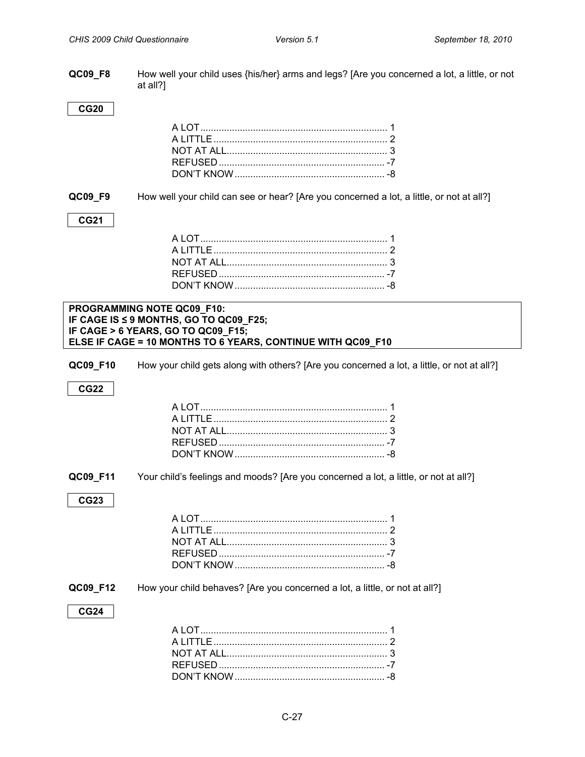**QC09\_F8** How well your child uses {his/her} arms and legs? [Are you concerned a lot, a little, or not at all?]

#### **CG20**

**QC09\_F9** How well your child can see or hear? [Are you concerned a lot, a little, or not at all?]

#### **CG21**

#### **PROGRAMMING NOTE QC09\_F10: IF CAGE IS ≤ 9 MONTHS, GO TO QC09\_F25; IF CAGE > 6 YEARS, GO TO QC09\_F15; ELSE IF CAGE = 10 MONTHS TO 6 YEARS, CONTINUE WITH QC09\_F10**

**QC09\_F10** How your child gets along with others? [Are you concerned a lot, a little, or not at all?]

#### **CG22**

**QC09\_F11** Your child's feelings and moods? [Are you concerned a lot, a little, or not at all?]

#### **CG23**

#### **QC09\_F12** How your child behaves? [Are you concerned a lot, a little, or not at all?]

#### **CG24**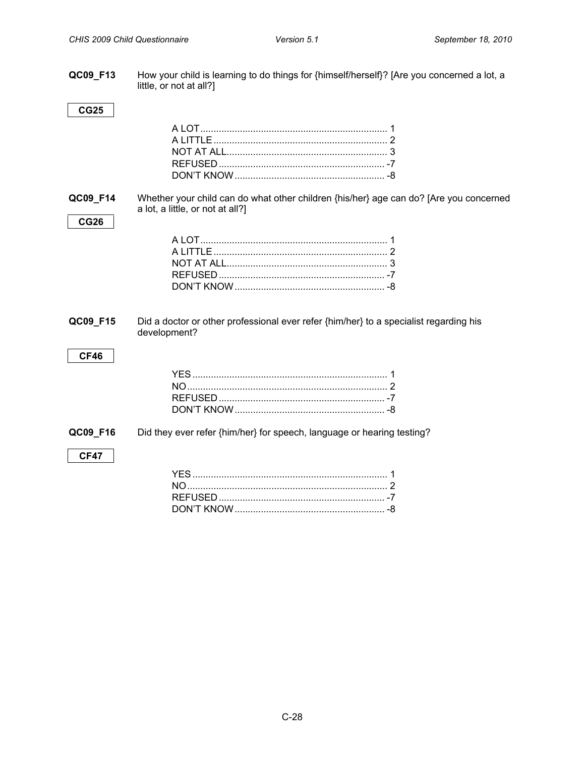**QC09\_F13** How your child is learning to do things for {himself/herself}? [Are you concerned a lot, a little, or not at all?]

#### **CG25**

**QC09\_F14** Whether your child can do what other children {his/her} age can do? [Are you concerned a lot, a little, or not at all?]

### **CG26**

<span id="page-27-0"></span>**QC09\_F15** Did a doctor or other professional ever refer {him/her} to a specialist regarding his development?

#### **CF46**

**QC09\_F16** Did they ever refer {him/her} for speech, language or hearing testing?

#### **CF47**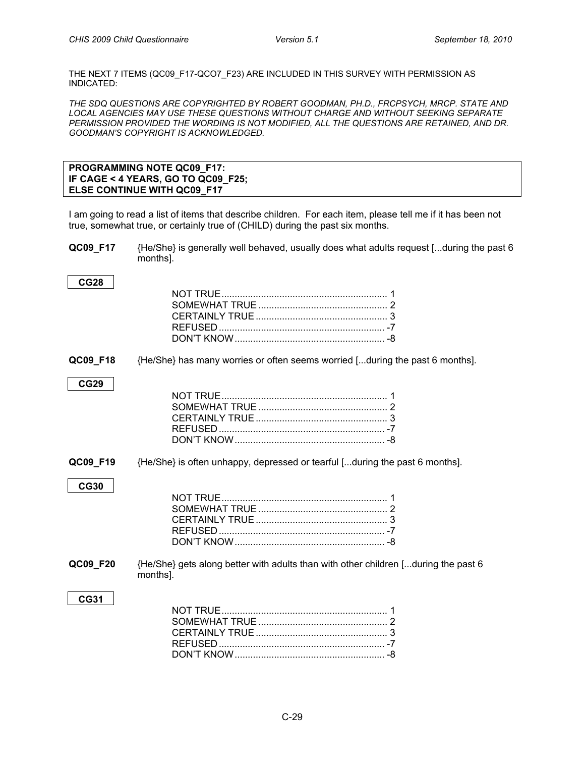THE NEXT 7 ITEMS (QC09\_F17-QCO7\_F23) ARE INCLUDED IN THIS SURVEY WITH PERMISSION AS INDICATED:

*THE SDQ QUESTIONS ARE COPYRIGHTED BY ROBERT GOODMAN, PH.D., FRCPSYCH, MRCP. STATE AND LOCAL AGENCIES MAY USE THESE QUESTIONS WITHOUT CHARGE AND WITHOUT SEEKING SEPARATE PERMISSION PROVIDED THE WORDING IS NOT MODIFIED, ALL THE QUESTIONS ARE RETAINED, AND DR. GOODMAN'S COPYRIGHT IS ACKNOWLEDGED.* 

<span id="page-28-0"></span>

| <b>PROGRAMMING NOTE QC09 F17:</b>  |  |
|------------------------------------|--|
| IF CAGE < 4 YEARS, GO TO QC09 F25; |  |
| <b>ELSE CONTINUE WITH QC09 F17</b> |  |

I am going to read a list of items that describe children. For each item, please tell me if it has been not true, somewhat true, or certainly true of (CHILD) during the past six months.

**QC09\_F17** {He/She} is generally well behaved, usually does what adults request [...during the past 6 months].

| <b>CG28</b> |                                                                                                |
|-------------|------------------------------------------------------------------------------------------------|
|             |                                                                                                |
|             |                                                                                                |
| QC09_F18    | {He/She} has many worries or often seems worried [during the past 6 months].                   |
| <b>CG29</b> |                                                                                                |
|             |                                                                                                |
| QC09_F19    | {He/She} is often unhappy, depressed or tearful [during the past 6 months].                    |
| <b>CG30</b> |                                                                                                |
| QC09_F20    | {He/She} gets along better with adults than with other children [during the past 6<br>months]. |
| <b>CG31</b> |                                                                                                |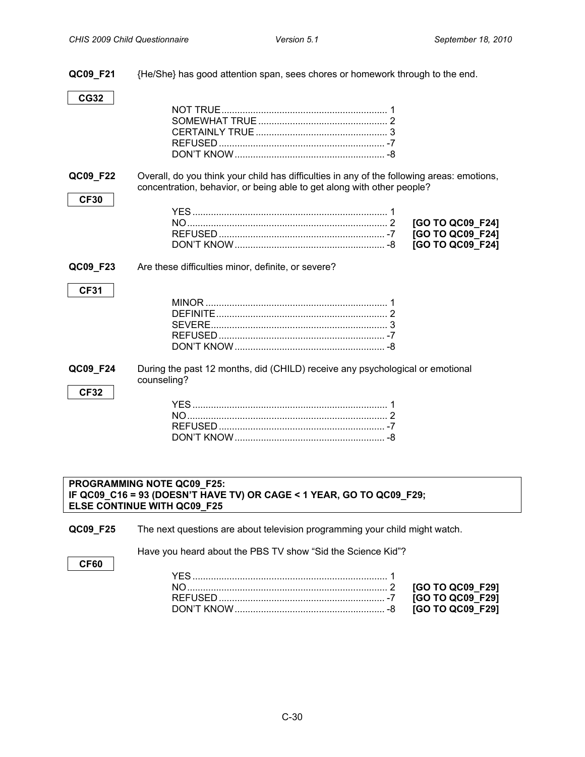**QC09\_F21** {He/She} has good attention span, sees chores or homework through to the end. **CG32** NOT TRUE............................................................... 1 SOMEWHAT TRUE................................................. 2 CERTAINLY TRUE.................................................. 3 REFUSED............................................................... -7 DON'T KNOW......................................................... -8 **QC09 F22** Overall, do you think your child has difficulties in any of the following areas: emotions, concentration, behavior, or being able to get along with other people? **CF30** YES.......................................................................... 1 NO............................................................................ 2 **[GO TO QC09\_F24]** REFUSED............................................................... -7 **[GO TO QC09\_F24]** DON'T KNOW......................................................... -8 **[GO TO QC09\_F24] QC09 F23** Are these difficulties minor, definite, or severe? **CF31** MINOR ..................................................................... 1 DEFINITE................................................................. 2 SEVERE................................................................... 3 REFUSED............................................................... -7 DON'T KNOW......................................................... -8 **QC09 F24** During the past 12 months, did (CHILD) receive any psychological or emotional counseling? **CF32** YES.......................................................................... 1 NO............................................................................ 2 REFUSED............................................................... -7 DON'T KNOW......................................................... -8

#### <span id="page-29-0"></span>**PROGRAMMING NOTE QC09\_F25: IF QC09\_C16 = 93 (DOESN'T HAVE TV) OR CAGE < 1 YEAR, GO TO QC09\_F29; ELSE CONTINUE WITH QC09\_F25**

**QC09 F25** The next questions are about television programming your child might watch.

Have you heard about the PBS TV show "Sid the Science Kid"?

**CF60**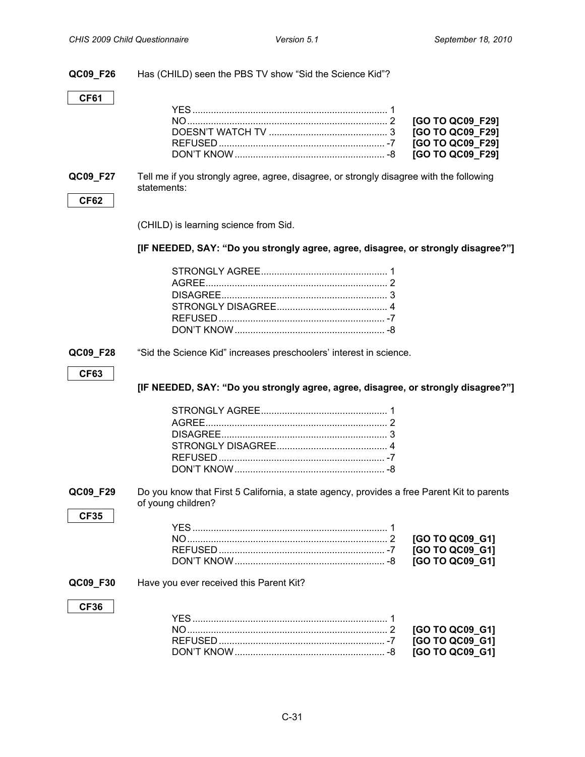**QC09\_F26** Has (CHILD) seen the PBS TV show "Sid the Science Kid"?

#### **CF61**

**QC09\_F27** Tell me if you strongly agree, agree, disagree, or strongly disagree with the following statements:

#### **CF62**

(CHILD) is learning science from Sid.

#### **[IF NEEDED, SAY: "Do you strongly agree, agree, disagree, or strongly disagree?"]**

#### **QC09\_F28** "Sid the Science Kid" increases preschoolers' interest in science.

#### **CF63**

**[IF NEEDED, SAY: "Do you strongly agree, agree, disagree, or strongly disagree?"]**

<span id="page-30-0"></span>**QC09 F29** Do you know that First 5 California, a state agency, provides a free Parent Kit to parents of young children?

#### YES.......................................................................... 1 NO............................................................................ 2 **[GO TO QC09\_G1]** REFUSED............................................................... -7 **[GO TO QC09\_G1]** DON'T KNOW......................................................... -8 **[GO TO QC09\_G1]**

#### **QC09\_F30** Have you ever received this Parent Kit?

#### **CF36**

**CF35**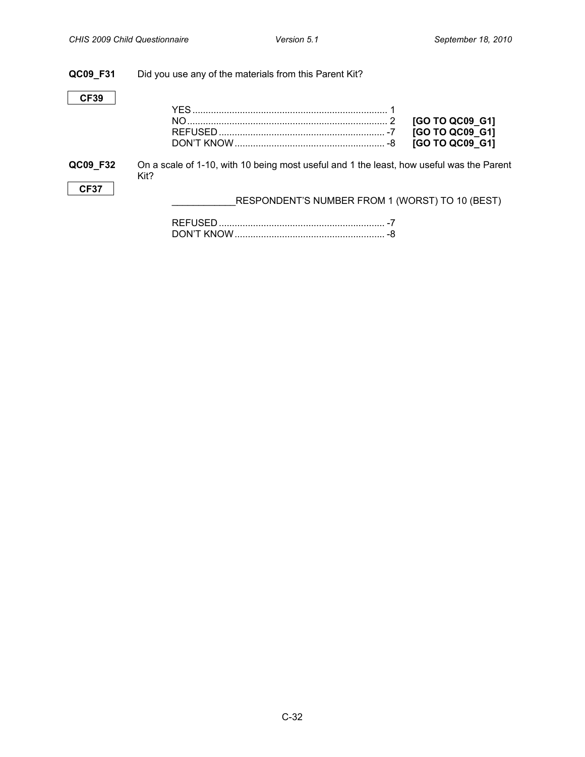| QC09 F31    | Did you use any of the materials from this Parent Kit?                                           |                                                       |
|-------------|--------------------------------------------------------------------------------------------------|-------------------------------------------------------|
| <b>CF39</b> |                                                                                                  | [GO TO QC09_G1]<br>[GO TO QC09_G1]<br>[GO TO QC09 G1] |
| QC09_F32    | On a scale of 1-10, with 10 being most useful and 1 the least, how useful was the Parent<br>Kit? |                                                       |
| <b>CF37</b> | RESPONDENT'S NUMBER FROM 1 (WORST) TO 10 (BEST)                                                  |                                                       |
|             |                                                                                                  |                                                       |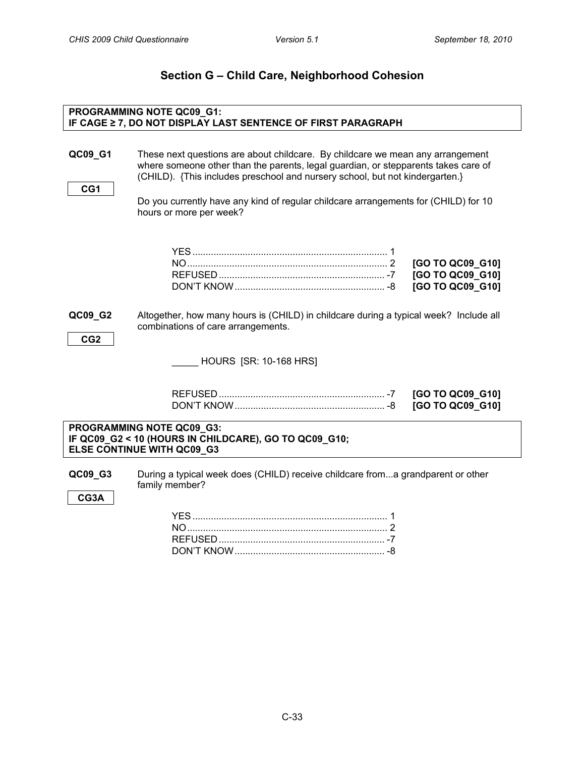<span id="page-32-1"></span><span id="page-32-0"></span>**CHILD CAREER** 

**CG1**

### **Section G – Child Care, Neighborhood Cohesion**

### **PROGRAMMING NOTE QC09\_G1: IF CAGE ≥ 7, DO NOT DISPLAY LAST SENTENCE OF FIRST PARAGRAPH**

**QC09 G1** These next questions are about childcare. By childcare we mean any arrangement where someone other than the parents, legal guardian, or stepparents takes care of (CHILD). {This includes preschool and nursery school, but not kindergarten.}

> Do you currently have any kind of regular childcare arrangements for (CHILD) for 10 hours or more per week?

**QC09\_G2** Altogether, how many hours is (CHILD) in childcare during a typical week? Include all combinations of care arrangements.

```
CG2
```
\_\_\_\_\_ HOURS [SR: 10-168 HRS]

**PROGRAMMING NOTE QC09\_G3: IF QC09\_G2 < 10 (HOURS IN CHILDCARE), GO TO QC09\_G10; ELSE CONTINUE WITH QC09\_G3**

**QC09 G3** During a typical week does (CHILD) receive childcare from...a grandparent or other family member?

**CG3A**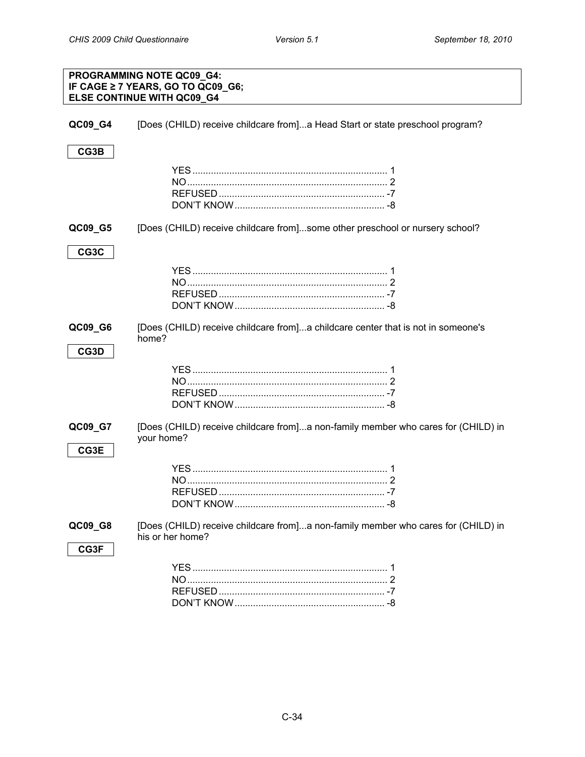| <b>PROGRAMMING NOTE QC09 G4:</b><br>IF CAGE ≥ 7 YEARS, GO TO QC09_G6;<br>ELSE CONTINUE WITH QC09_G4 |                                                                                                       |  |
|-----------------------------------------------------------------------------------------------------|-------------------------------------------------------------------------------------------------------|--|
| QC09_G4                                                                                             | [Does (CHILD) receive childcare from]a Head Start or state preschool program?                         |  |
| CG3B                                                                                                |                                                                                                       |  |
|                                                                                                     |                                                                                                       |  |
| QC09_G5                                                                                             | [Does (CHILD) receive childcare from]some other preschool or nursery school?                          |  |
| CG3C                                                                                                |                                                                                                       |  |
|                                                                                                     |                                                                                                       |  |
| QC09_G6                                                                                             | [Does (CHILD) receive childcare from]a childcare center that is not in someone's<br>home?             |  |
| CG3D                                                                                                |                                                                                                       |  |
| QC09_G7<br>CG3E                                                                                     | [Does (CHILD) receive childcare from]a non-family member who cares for (CHILD) in<br>your home?       |  |
|                                                                                                     |                                                                                                       |  |
| QC09_G8                                                                                             | [Does (CHILD) receive childcare from]a non-family member who cares for (CHILD) in<br>his or her home? |  |
| CG3F                                                                                                |                                                                                                       |  |

DON'T KNOW......................................................... -8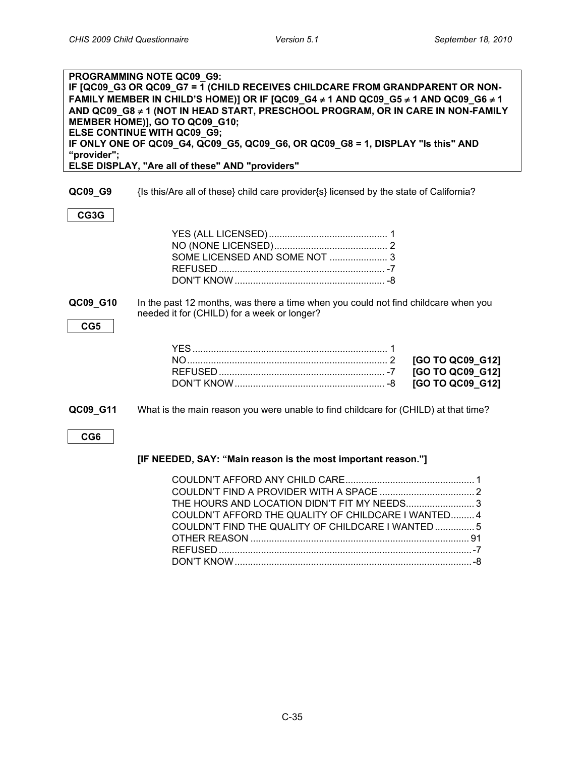| "provider"; | PROGRAMMING NOTE QC09_G9:<br>IF [QC09_G3 OR QC09_G7 = 1 (CHILD RECEIVES CHILDCARE FROM GRANDPARENT OR NON-<br>FAMILY MEMBER IN CHILD'S HOME)] OR IF [QC09_G4 ≠ 1 AND QC09_G5 ≠ 1 AND QC09_G6 ≠ 1<br>AND QC09_G8 ≠ 1 (NOT IN HEAD START, PRESCHOOL PROGRAM, OR IN CARE IN NON-FAMILY<br>MEMBER HOME)], GO TO QC09 G10;<br>ELSE CONTINUE WITH QC09_G9;<br>IF ONLY ONE OF QC09_G4, QC09_G5, QC09_G6, OR QC09_G8 = 1, DISPLAY "Is this" AND<br>ELSE DISPLAY, "Are all of these" AND "providers" |
|-------------|---------------------------------------------------------------------------------------------------------------------------------------------------------------------------------------------------------------------------------------------------------------------------------------------------------------------------------------------------------------------------------------------------------------------------------------------------------------------------------------------|
|             |                                                                                                                                                                                                                                                                                                                                                                                                                                                                                             |
| QC09_G9     | {Is this/Are all of these} child care provider{s} licensed by the state of California?                                                                                                                                                                                                                                                                                                                                                                                                      |
| CG3G        |                                                                                                                                                                                                                                                                                                                                                                                                                                                                                             |
|             |                                                                                                                                                                                                                                                                                                                                                                                                                                                                                             |
|             | SOME LICENSED AND SOME NOT  3                                                                                                                                                                                                                                                                                                                                                                                                                                                               |
|             |                                                                                                                                                                                                                                                                                                                                                                                                                                                                                             |
|             |                                                                                                                                                                                                                                                                                                                                                                                                                                                                                             |
| QC09_G10    | In the past 12 months, was there a time when you could not find childcare when you<br>needed it for (CHILD) for a week or longer?                                                                                                                                                                                                                                                                                                                                                           |
| CG5         |                                                                                                                                                                                                                                                                                                                                                                                                                                                                                             |
|             |                                                                                                                                                                                                                                                                                                                                                                                                                                                                                             |
|             | [GO TO QC09_G12]                                                                                                                                                                                                                                                                                                                                                                                                                                                                            |
|             | [GO TO QC09_G12]                                                                                                                                                                                                                                                                                                                                                                                                                                                                            |
|             | [GO TO QC09 G12]                                                                                                                                                                                                                                                                                                                                                                                                                                                                            |
| QC09_G11    | What is the main reason you were unable to find childcare for (CHILD) at that time?                                                                                                                                                                                                                                                                                                                                                                                                         |
| CG6         |                                                                                                                                                                                                                                                                                                                                                                                                                                                                                             |
|             | [IF NEEDED, SAY: "Main reason is the most important reason."]                                                                                                                                                                                                                                                                                                                                                                                                                               |
|             |                                                                                                                                                                                                                                                                                                                                                                                                                                                                                             |
|             |                                                                                                                                                                                                                                                                                                                                                                                                                                                                                             |
|             | THE HOURS AND LOCATION DIDN'T FIT MY NEEDS 3                                                                                                                                                                                                                                                                                                                                                                                                                                                |
|             | COULDN'T AFFORD THE QUALITY OF CHILDCARE I WANTED 4                                                                                                                                                                                                                                                                                                                                                                                                                                         |
|             | COULDN'T FIND THE QUALITY OF CHILDCARE I WANTED  5                                                                                                                                                                                                                                                                                                                                                                                                                                          |
|             |                                                                                                                                                                                                                                                                                                                                                                                                                                                                                             |
|             |                                                                                                                                                                                                                                                                                                                                                                                                                                                                                             |

DON'T KNOW..........................................................................................-8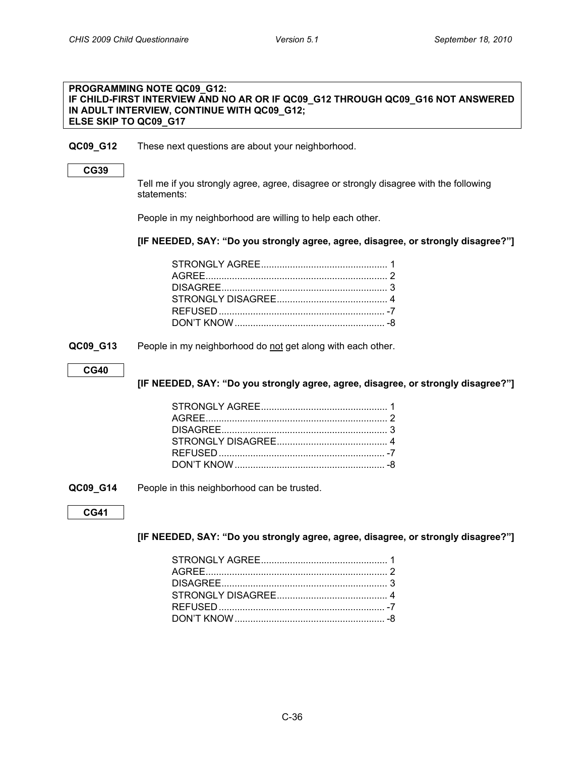#### <span id="page-35-0"></span>**PROGRAMMING NOTE QC09\_G12: IF CHILD-FIRST INTERVIEW AND NO AR OR IF QC09\_G12 THROUGH QC09\_G16 NOT ANSWERED IN ADULT INTERVIEW, CONTINUE WITH QC09\_G12; ELSE SKIP TO QC09\_G17**

#### **QC09\_G12** These next questions are about your neighborhood.

#### **CG39**

Tell me if you strongly agree, agree, disagree or strongly disagree with the following statements:

People in my neighborhood are willing to help each other.

#### **[IF NEEDED, SAY: "Do you strongly agree, agree, disagree, or strongly disagree?"]**

**QC09\_G13** People in my neighborhood do not get along with each other.

#### **CG40**

**[IF NEEDED, SAY: "Do you strongly agree, agree, disagree, or strongly disagree?"]**

**QC09\_G14** People in this neighborhood can be trusted.

#### **CG41**

#### **[IF NEEDED, SAY: "Do you strongly agree, agree, disagree, or strongly disagree?"]**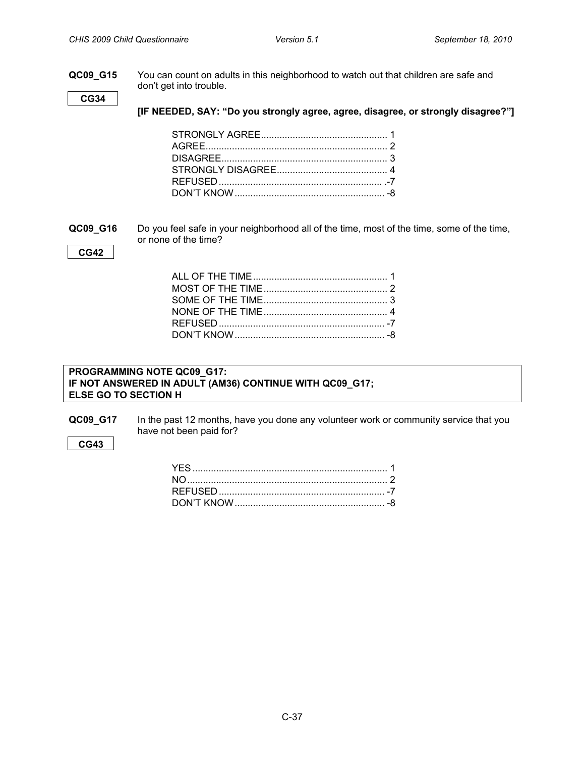**QC09\_G15** You can count on adults in this neighborhood to watch out that children are safe and don't get into trouble.

**CG34**

**[IF NEEDED, SAY: "Do you strongly agree, agree, disagree, or strongly disagree?"]**

<span id="page-36-0"></span>**QC09\_G16** Do you feel safe in your neighborhood all of the time, most of the time, some of the time, or none of the time?

#### **CG42**

#### <span id="page-36-1"></span>**PROGRAMMING NOTE QC09\_G17: IF NOT ANSWERED IN ADULT (AM36) CONTINUE WITH QC09\_G17; ELSE GO TO SECTION H**

**QC09\_G17** In the past 12 months, have you done any volunteer work or community service that you have not been paid for?

#### **CG43**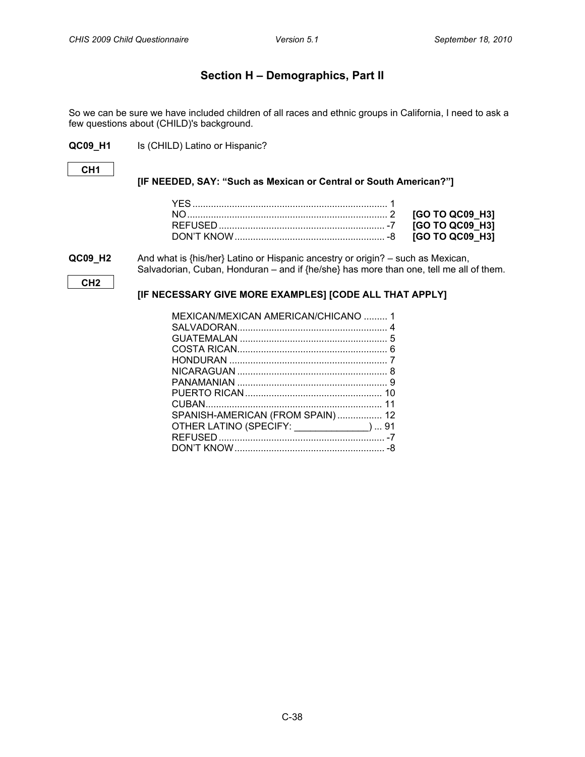### **Section H – Demographics, Part II**

<span id="page-37-1"></span><span id="page-37-0"></span>So we can be sure we have included children of all races and ethnic groups in California, I need to ask a few questions about (CHILD)'s background.

**QC09\_H1** Is (CHILD) Latino or Hispanic?

#### **CH1**

#### **[IF NEEDED, SAY: "Such as Mexican or Central or South American?"]**

**QC09\_H2** And what is {his/her} Latino or Hispanic ancestry or origin? – such as Mexican, Salvadorian, Cuban, Honduran – and if {he/she} has more than one, tell me all of them.

**CH2**

#### **[IF NECESSARY GIVE MORE EXAMPLES] [CODE ALL THAT APPLY]**

| MEXICAN/MEXICAN AMERICAN/CHICANO  1        |  |
|--------------------------------------------|--|
|                                            |  |
|                                            |  |
|                                            |  |
|                                            |  |
|                                            |  |
|                                            |  |
|                                            |  |
|                                            |  |
| SPANISH-AMERICAN (FROM SPAIN) 12           |  |
| OTHER LATINO (SPECIFY: ______________)  91 |  |
|                                            |  |
|                                            |  |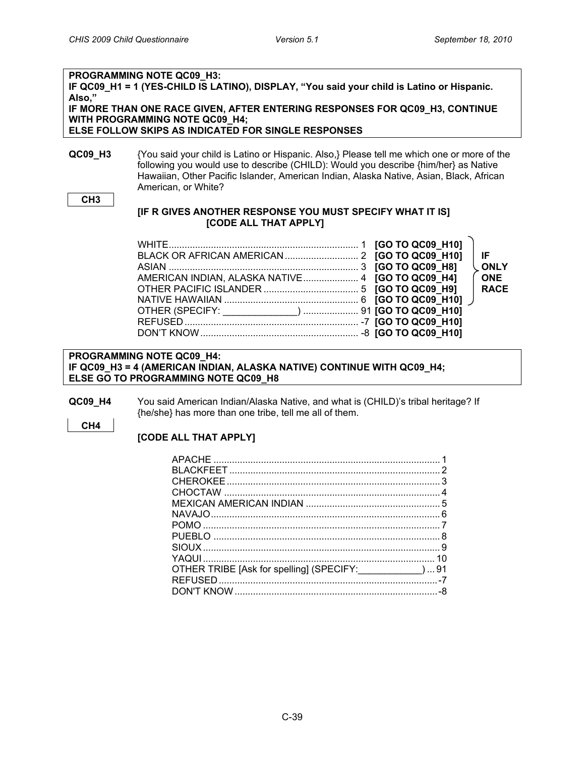### **PROGRAMMING NOTE QC09\_H3:** IF QC09 H1 = 1 (YES-CHILD IS LATINO), DISPLAY, "You said your child is Latino or Hispanic. **Also," IF MORE THAN ONE RACE GIVEN, AFTER ENTERING RESPONSES FOR QC09\_H3, CONTINUE WITH PROGRAMMING NOTE QC09\_H4; ELSE FOLLOW SKIPS AS INDICATED FOR SINGLE RESPONSES QC09\_H3** {You said your child is Latino or Hispanic. Also,} Please tell me which one or more of the

following you would use to describe (CHILD): Would you describe {him/her} as Native Hawaiian, Other Pacific Islander, American Indian, Alaska Native, Asian, Black, African American, or White?

#### **CH3**

#### **[IF R GIVES ANOTHER RESPONSE YOU MUST SPECIFY WHAT IT IS] [CODE ALL THAT APPLY]**

#### **PROGRAMMING NOTE QC09\_H4: IF QC09\_H3 = 4 (AMERICAN INDIAN, ALASKA NATIVE) CONTINUE WITH QC09\_H4; ELSE GO TO PROGRAMMING NOTE QC09\_H8**

**QC09 H4** You said American Indian/Alaska Native, and what is (CHILD)'s tribal heritage? If {he/she} has more than one tribe, tell me all of them.

#### **CH4**

#### **[CODE ALL THAT APPLY]**

| OTHER TRIBE [Ask for spelling] (SPECIFY: _______________)  91 |  |
|---------------------------------------------------------------|--|
|                                                               |  |
|                                                               |  |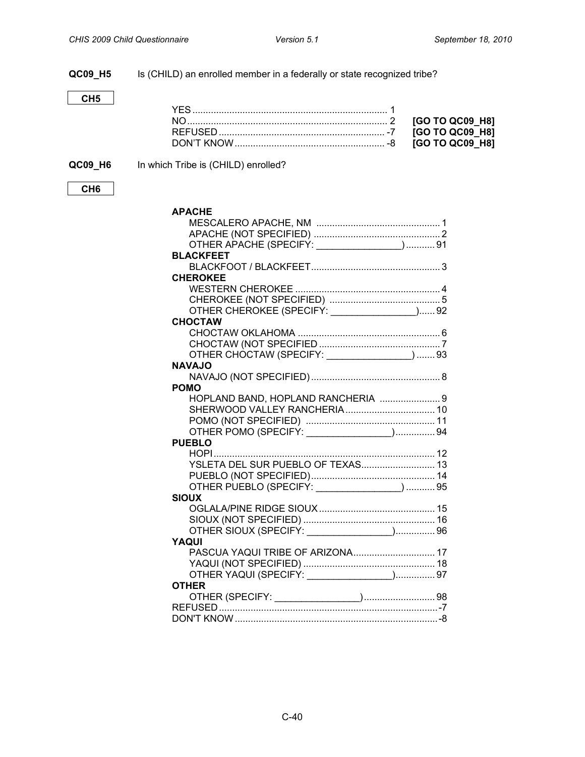### **QC09\_H5** Is (CHILD) an enrolled member in a federally or state recognized tribe?

### **CH5**

### **QC09\_H6** In which Tribe is (CHILD) enrolled?

| ×<br>۰,<br>۰.<br>v |
|--------------------|
|--------------------|

| <b>APACHE</b>                                |
|----------------------------------------------|
|                                              |
|                                              |
| OTHER APACHE (SPECIFY: ________________) 91  |
| <b>BLACKFEET</b>                             |
|                                              |
| <b>CHEROKEE</b>                              |
|                                              |
|                                              |
| OTHER CHEROKEE (SPECIFY: ________________)92 |
| <b>CHOCTAW</b>                               |
|                                              |
|                                              |
| OTHER CHOCTAW (SPECIFY: _______________) 93  |
| <b>NAVAJO</b>                                |
|                                              |
| <b>POMO</b>                                  |
| HOPLAND BAND, HOPLAND RANCHERIA  9           |
|                                              |
|                                              |
| OTHER POMO (SPECIFY: \[\]                    |
| <b>PUEBLO</b>                                |
|                                              |
| YSLETA DEL SUR PUEBLO OF TEXAS 13            |
|                                              |
| OTHER PUEBLO (SPECIFY: _______________)  95  |
| <b>SIOUX</b>                                 |
|                                              |
|                                              |
| OTHER SIOUX (SPECIFY: \[\]                   |
| YAQUI                                        |
| PASCUA YAQUI TRIBE OF ARIZONA 17             |
|                                              |
| OTHER YAQUI (SPECIFY: ________________) 97   |
| <b>OTHER</b>                                 |
|                                              |
|                                              |
|                                              |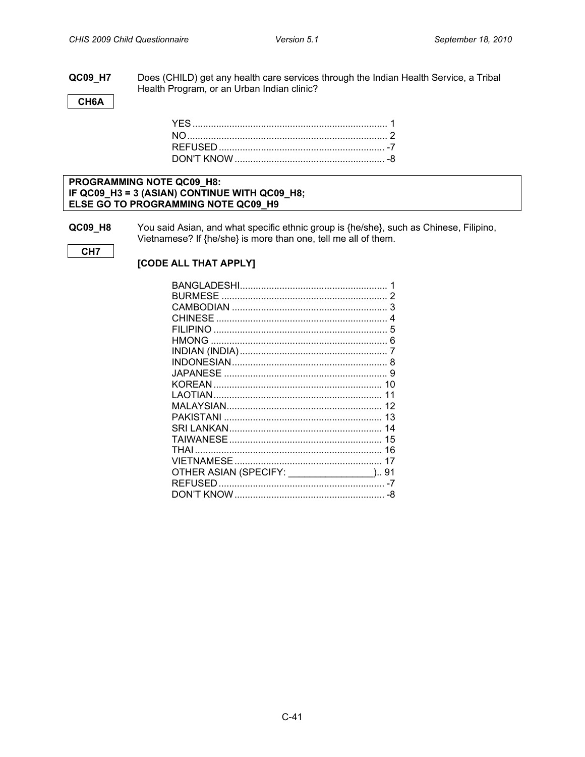#### QC09\_H7 Does (CHILD) get any health care services through the Indian Health Service, a Tribal Health Program, or an Urban Indian clinic?

CH6A

#### PROGRAMMING NOTE QC09\_H8: IF QC09\_H3 = 3 (ASIAN) CONTINUE WITH QC09\_H8; ELSE GO TO PROGRAMMING NOTE QC09\_H9

QC09\_H8 You said Asian, and what specific ethnic group is {he/she}, such as Chinese, Filipino, Vietnamese? If {he/she} is more than one, tell me all of them.

CH<sub>7</sub>

[CODE ALL THAT APPLY]

|                                             | 3  |
|---------------------------------------------|----|
|                                             |    |
|                                             | 5  |
|                                             |    |
|                                             |    |
|                                             | 8  |
|                                             |    |
|                                             |    |
|                                             | 11 |
|                                             |    |
|                                             |    |
|                                             |    |
|                                             |    |
|                                             |    |
|                                             |    |
| OTHER ASIAN (SPECIFY: _________________) 91 |    |
|                                             |    |
|                                             |    |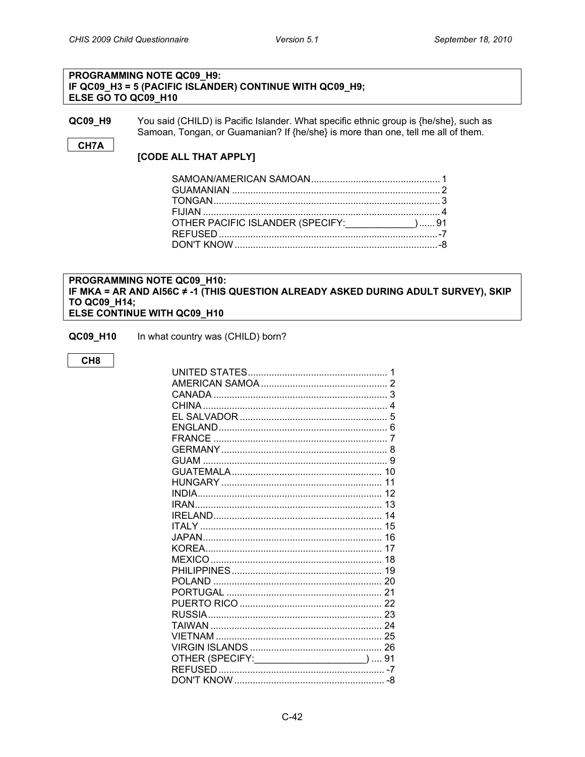#### PROGRAMMING NOTE QC09 H9: IF QC09\_H3 = 5 (PACIFIC ISLANDER) CONTINUE WITH QC09\_H9; ELSE GO TO QC09\_H10

QC09\_H9 You said (CHILD) is Pacific Islander. What specific ethnic group is {he/she}, such as Samoan, Tongan, or Guamanian? If {he/she} is more than one, tell me all of them.

#### CH7A

#### [CODE ALL THAT APPLY]

| OTHER PACIFIC ISLANDER (SPECIFY:____________) 91 |  |
|--------------------------------------------------|--|
|                                                  |  |
|                                                  |  |
|                                                  |  |

#### <span id="page-41-0"></span>PROGRAMMING NOTE QC09 H10: IF MKA = AR AND AI56C  $\neq$  -1 (THIS QUESTION ALREADY ASKED DURING ADULT SURVEY), SKIP TO QC09\_H14; ELSE CONTINUE WITH QC09\_H10

- QC09\_H10 In what country was (CHILD) born?
	- CH<sub>8</sub>

| OTHER (SPECIFY: ______________________)  91 |
|---------------------------------------------|
|                                             |
|                                             |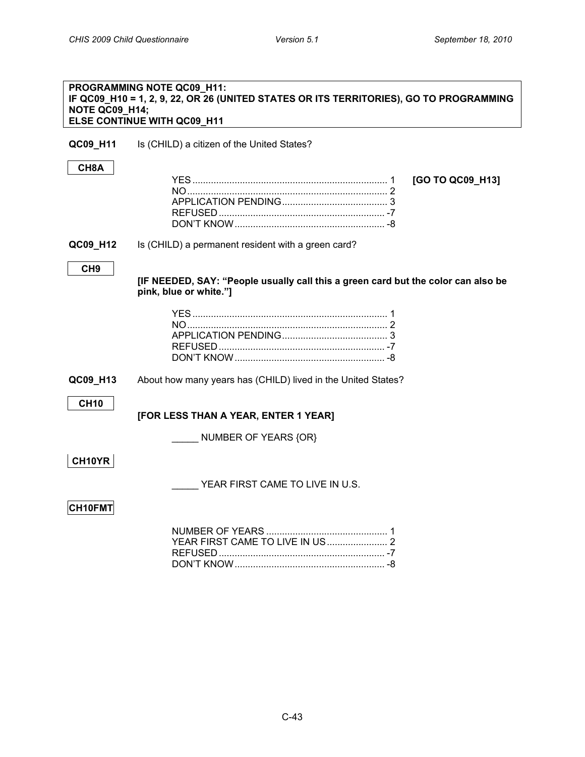<span id="page-42-0"></span>**CITIZENSHIP, IMMIGRATION STATUS, YEARS IN THE US**

| NOTE QC09_H14;    | PROGRAMMING NOTE QC09_H11:<br>IF QC09_H10 = 1, 2, 9, 22, OR 26 (UNITED STATES OR ITS TERRITORIES), GO TO PROGRAMMING<br>ELSE CONTINUE WITH QC09_H11 |
|-------------------|-----------------------------------------------------------------------------------------------------------------------------------------------------|
| QC09_H11          | Is (CHILD) a citizen of the United States?                                                                                                          |
| CH <sub>8</sub> A | [GO TO QC09_H13]                                                                                                                                    |
| QC09_H12          | Is (CHILD) a permanent resident with a green card?                                                                                                  |
| CH <sub>9</sub>   | [IF NEEDED, SAY: "People usually call this a green card but the color can also be<br>pink, blue or white."]                                         |
|                   |                                                                                                                                                     |
| QC09_H13          | About how many years has (CHILD) lived in the United States?                                                                                        |
| <b>CH10</b>       | [FOR LESS THAN A YEAR, ENTER 1 YEAR]                                                                                                                |
|                   | NUMBER OF YEARS {OR}                                                                                                                                |
| CH10YR            |                                                                                                                                                     |
|                   | YEAR FIRST CAME TO LIVE IN U.S.                                                                                                                     |
| <b>CH10FMT</b>    |                                                                                                                                                     |
|                   |                                                                                                                                                     |

DON'T KNOW......................................................... -8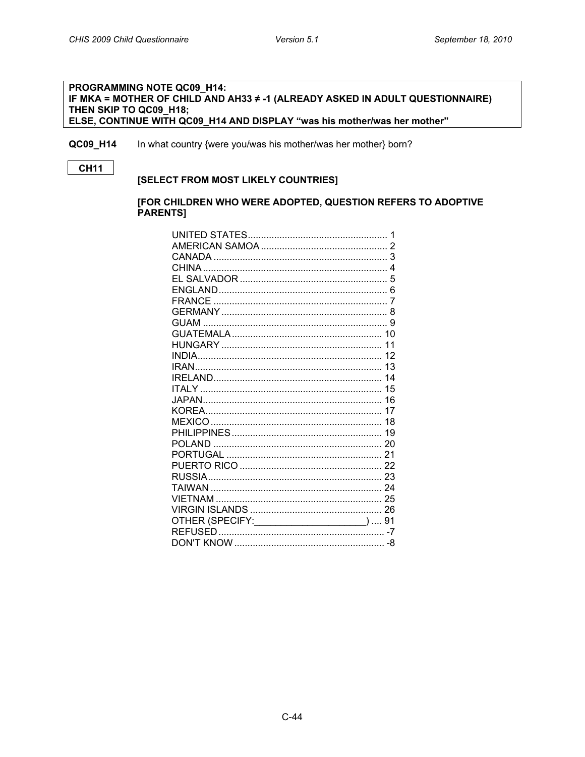#### <span id="page-43-0"></span>**PROGRAMMING NOTE QC09 H14:** IF MKA = MOTHER OF CHILD AND AH33 ≠ -1 (ALREADY ASKED IN ADULT QUESTIONNAIRE) THEN SKIP TO QC09\_H18; ELSE, CONTINUE WITH QC09\_H14 AND DISPLAY "was his mother/was her mother"

In what country {were you/was his mother/was her mother} born? QC09\_H14

**CH11** 

#### [SELECT FROM MOST LIKELY COUNTRIES]

#### [FOR CHILDREN WHO WERE ADOPTED, QUESTION REFERS TO ADOPTIVE **PARENTS]**

| OTHER (SPECIFY: ______________________)  91 |  |
|---------------------------------------------|--|
|                                             |  |
|                                             |  |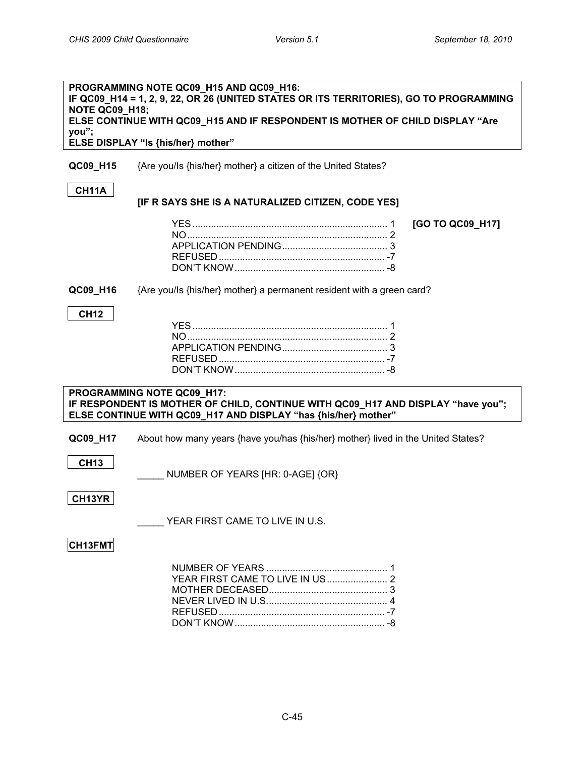<span id="page-44-0"></span>

|                | PROGRAMMING NOTE QC09 H15 AND QC09 H16:<br>IF QC09_H14 = 1, 2, 9, 22, OR 26 (UNITED STATES OR ITS TERRITORIES), GO TO PROGRAMMING |                  |
|----------------|-----------------------------------------------------------------------------------------------------------------------------------|------------------|
| NOTE QC09_H18; |                                                                                                                                   |                  |
|                | ELSE CONTINUE WITH QC09_H15 AND IF RESPONDENT IS MOTHER OF CHILD DISPLAY "Are                                                     |                  |
| you";          |                                                                                                                                   |                  |
|                | ELSE DISPLAY "Is {his/her} mother"                                                                                                |                  |
| QC09_H15       | {Are you/Is {his/her} mother} a citizen of the United States?                                                                     |                  |
| CH11A          |                                                                                                                                   |                  |
|                | [IF R SAYS SHE IS A NATURALIZED CITIZEN, CODE YES]                                                                                |                  |
|                |                                                                                                                                   |                  |
|                |                                                                                                                                   | [GO TO QC09_H17] |
|                |                                                                                                                                   |                  |
|                |                                                                                                                                   |                  |
|                |                                                                                                                                   |                  |
|                |                                                                                                                                   |                  |
| QC09_H16       | {Are you/ls {his/her} mother} a permanent resident with a green card?                                                             |                  |
|                |                                                                                                                                   |                  |
| <b>CH12</b>    |                                                                                                                                   |                  |
|                |                                                                                                                                   |                  |
|                |                                                                                                                                   |                  |
|                |                                                                                                                                   |                  |
|                |                                                                                                                                   |                  |
|                |                                                                                                                                   |                  |
|                | PROGRAMMING NOTE QC09_H17:                                                                                                        |                  |
|                | IF RESPONDENT IS MOTHER OF CHILD, CONTINUE WITH QC09_H17 AND DISPLAY "have you";                                                  |                  |
|                | ELSE CONTINUE WITH QC09_H17 AND DISPLAY "has {his/her} mother"                                                                    |                  |
| QC09_H17       | About how many years {have you/has {his/her} mother} lived in the United States?                                                  |                  |
|                |                                                                                                                                   |                  |
| <b>CH13</b>    |                                                                                                                                   |                  |
|                | NUMBER OF YEARS [HR: 0-AGE] {OR}                                                                                                  |                  |
|                |                                                                                                                                   |                  |
| CH13YR         |                                                                                                                                   |                  |
|                |                                                                                                                                   |                  |
|                | YEAR FIRST CAME TO LIVE IN U.S.                                                                                                   |                  |
| CH13FMT        |                                                                                                                                   |                  |
|                |                                                                                                                                   |                  |
|                |                                                                                                                                   |                  |
|                | YEAR FIRST CAME TO LIVE IN US 2                                                                                                   |                  |
|                |                                                                                                                                   |                  |
|                |                                                                                                                                   |                  |
|                |                                                                                                                                   |                  |
|                |                                                                                                                                   |                  |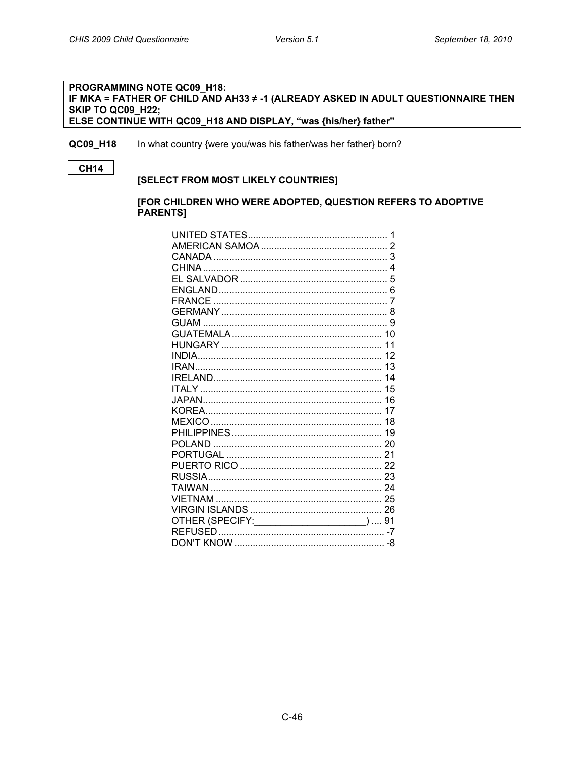#### <span id="page-45-0"></span>PROGRAMMING NOTE QC09\_H18: IF MKA = FATHER OF CHILD AND AH33 ≠ -1 (ALREADY ASKED IN ADULT QUESTIONNAIRE THEN SKIP TO QC09\_H22; ELSE CONTINUE WITH QC09\_H18 AND DISPLAY, "was {his/her} father"

In what country {were you/was his father/was her father} born? QC09\_H18

**CH14** 

#### [SELECT FROM MOST LIKELY COUNTRIES]

#### [FOR CHILDREN WHO WERE ADOPTED, QUESTION REFERS TO ADOPTIVE **PARENTS]**

| OTHER (SPECIFY: _____________________)  91 |  |
|--------------------------------------------|--|
|                                            |  |
|                                            |  |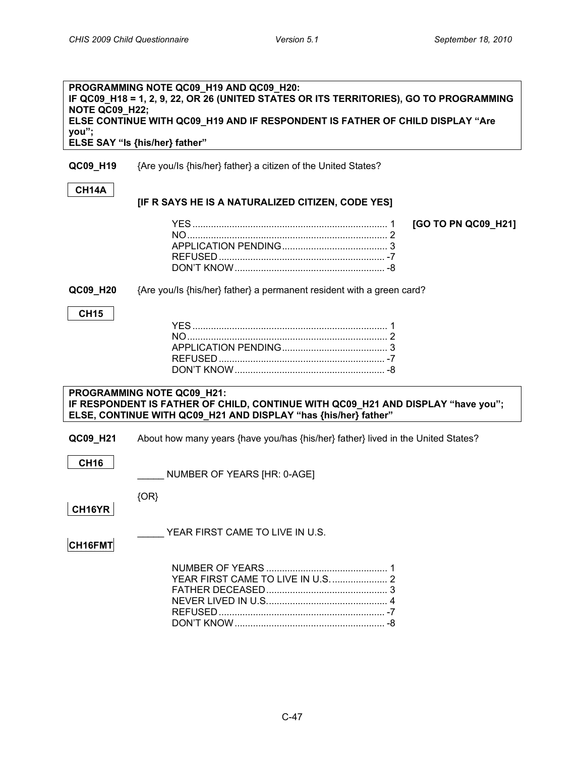<span id="page-46-0"></span>

| <b>NOTE QC09_H22;</b> | PROGRAMMING NOTE QC09_H19 AND QC09_H20:<br>IF QC09_H18 = 1, 2, 9, 22, OR 26 (UNITED STATES OR ITS TERRITORIES), GO TO PROGRAMMING<br>ELSE CONTINUE WITH QC09_H19 AND IF RESPONDENT IS FATHER OF CHILD DISPLAY "Are |
|-----------------------|--------------------------------------------------------------------------------------------------------------------------------------------------------------------------------------------------------------------|
| you";                 |                                                                                                                                                                                                                    |
|                       | ELSE SAY "Is {his/her} father"                                                                                                                                                                                     |
| QC09_H19              | {Are you/Is {his/her} father} a citizen of the United States?                                                                                                                                                      |
| CH14A                 | [IF R SAYS HE IS A NATURALIZED CITIZEN, CODE YES]                                                                                                                                                                  |
|                       | [GO TO PN QC09_H21]                                                                                                                                                                                                |
|                       |                                                                                                                                                                                                                    |
|                       |                                                                                                                                                                                                                    |
|                       |                                                                                                                                                                                                                    |
| QC09_H20              | {Are you/ls {his/her} father} a permanent resident with a green card?                                                                                                                                              |
| <b>CH15</b>           |                                                                                                                                                                                                                    |
|                       |                                                                                                                                                                                                                    |
|                       |                                                                                                                                                                                                                    |
|                       |                                                                                                                                                                                                                    |
|                       |                                                                                                                                                                                                                    |
|                       |                                                                                                                                                                                                                    |
|                       | PROGRAMMING NOTE QC09_H21:                                                                                                                                                                                         |
|                       | IF RESPONDENT IS FATHER OF CHILD, CONTINUE WITH QC09_H21 AND DISPLAY "have you";                                                                                                                                   |
|                       | ELSE, CONTINUE WITH QC09_H21 AND DISPLAY "has {his/her} father"                                                                                                                                                    |
| QC09_H21              | About how many years {have you/has {his/her} father} lived in the United States?                                                                                                                                   |
|                       |                                                                                                                                                                                                                    |
| <b>CH16</b>           | NUMBER OF YEARS [HR: 0-AGE]                                                                                                                                                                                        |
|                       |                                                                                                                                                                                                                    |
|                       | ${OR}$                                                                                                                                                                                                             |
| CH16YR                |                                                                                                                                                                                                                    |
|                       | YEAR FIRST CAME TO LIVE IN U.S.                                                                                                                                                                                    |
| CH16FMT               |                                                                                                                                                                                                                    |
|                       | YEAR FIRST CAME TO LIVE IN U.S.  2                                                                                                                                                                                 |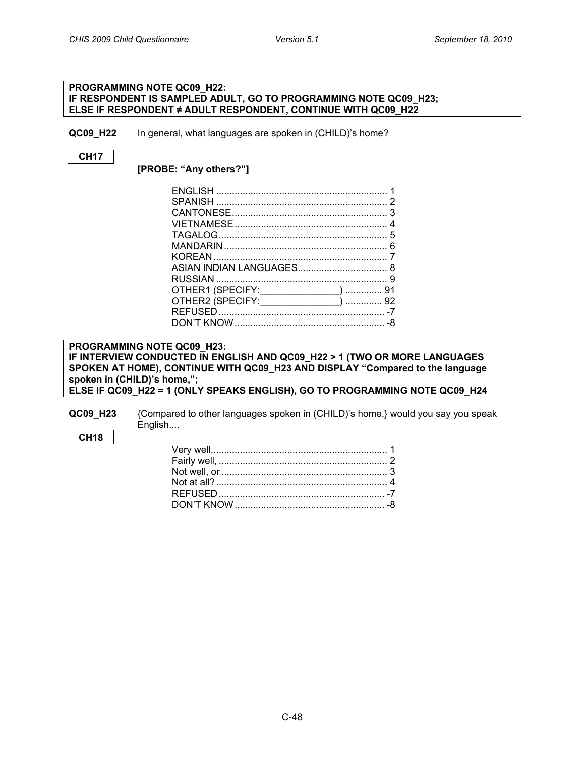<span id="page-47-0"></span>**LANGUAGES SPOKEN AT HOME**

#### **PROGRAMMING NOTE QC09\_H22: IF RESPONDENT IS SAMPLED ADULT, GO TO PROGRAMMING NOTE QC09\_H23; ELSE IF RESPONDENT ≠ ADULT RESPONDENT, CONTINUE WITH QC09\_H22**

**QC09 H22** In general, what languages are spoken in (CHILD)'s home?

### **CH17**

**[PROBE: "Any others?"]**

| OTHER1 (SPECIFY: _______________)  91  |
|----------------------------------------|
| OTHER2 (SPECIFY: ________________)  92 |
|                                        |
|                                        |
|                                        |

#### **PROGRAMMING NOTE QC09\_H23: IF INTERVIEW CONDUCTED IN ENGLISH AND QC09\_H22 > 1 (TWO OR MORE LANGUAGES SPOKEN AT HOME), CONTINUE WITH QC09\_H23 AND DISPLAY "Compared to the language spoken in (CHILD)'s home,"; ELSE IF QC09\_H22 = 1 (ONLY SPEAKS ENGLISH), GO TO PROGRAMMING NOTE QC09\_H24**

**QC09\_H23** {Compared to other languages spoken in (CHILD)'s home,} would you say you speak English....

#### **CH18**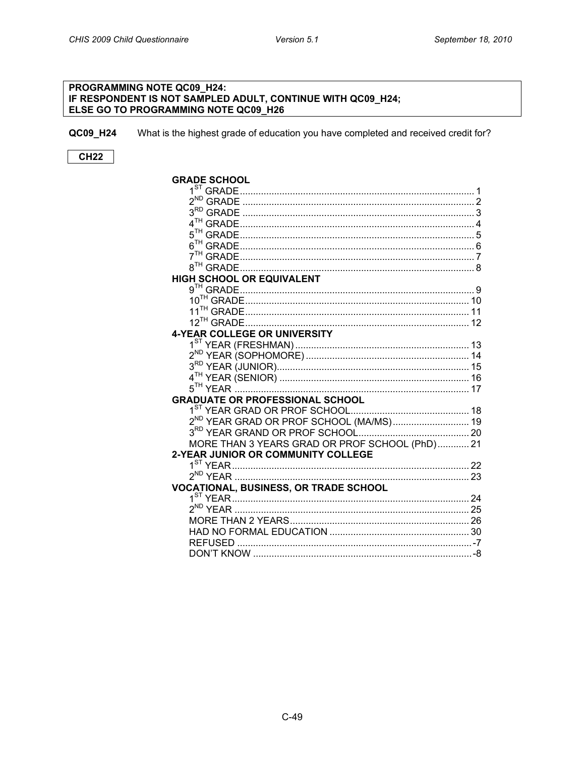#### <span id="page-48-0"></span>PROGRAMMING NOTE QC09\_H24: IF RESPONDENT IS NOT SAMPLED ADULT, CONTINUE WITH QC09\_H24; ELSE GO TO PROGRAMMING NOTE QC09\_H26

QC09\_H24 What is the highest grade of education you have completed and received credit for?

### $CH22$

| <b>GRADE SCHOOL</b>                                 |  |
|-----------------------------------------------------|--|
|                                                     |  |
| $2^{ND}$                                            |  |
|                                                     |  |
|                                                     |  |
|                                                     |  |
|                                                     |  |
|                                                     |  |
|                                                     |  |
| <b>HIGH SCHOOL OR EQUIVALENT</b>                    |  |
|                                                     |  |
|                                                     |  |
|                                                     |  |
|                                                     |  |
| <b>4-YEAR COLLEGE OR UNIVERSITY</b>                 |  |
|                                                     |  |
|                                                     |  |
|                                                     |  |
|                                                     |  |
|                                                     |  |
| <b>GRADUATE OR PROFESSIONAL SCHOOL</b>              |  |
|                                                     |  |
| 2 <sup>ND</sup> YEAR GRAD OR PROF SCHOOL (MA/MS) 19 |  |
|                                                     |  |
| MORE THAN 3 YEARS GRAD OR PROF SCHOOL (PhD) 21      |  |
| <b>2-YEAR JUNIOR OR COMMUNITY COLLEGE</b>           |  |
|                                                     |  |
| $2^{ND}$ YEAR                                       |  |
| <b>VOCATIONAL, BUSINESS, OR TRADE SCHOOL</b>        |  |
|                                                     |  |
|                                                     |  |
|                                                     |  |
|                                                     |  |
|                                                     |  |
| DON'T KNOW.                                         |  |